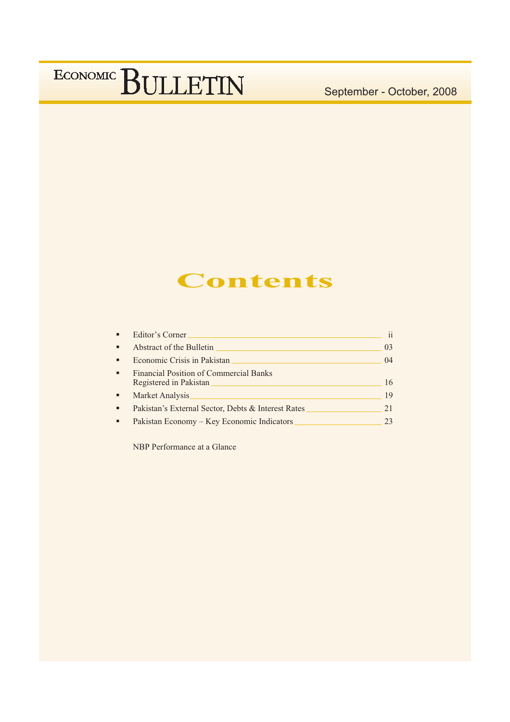September - October, 2008

## **Contents**

| ٠              | Editor's Corner                                                         |                |
|----------------|-------------------------------------------------------------------------|----------------|
| $\blacksquare$ | Abstract of the Bulletin                                                | 0 <sub>3</sub> |
| ٠              | Economic Crisis in Pakistan                                             | 04             |
| $\blacksquare$ | <b>Financial Position of Commercial Banks</b><br>Registered in Pakistan | 16             |
| ٠              | Market Analysis                                                         | 19             |
| ٠              | Pakistan's External Sector, Debts & Interest Rates                      | 21             |
|                | Pakistan Economy – Key Economic Indicators                              | 23             |

NBP Performance at a Glance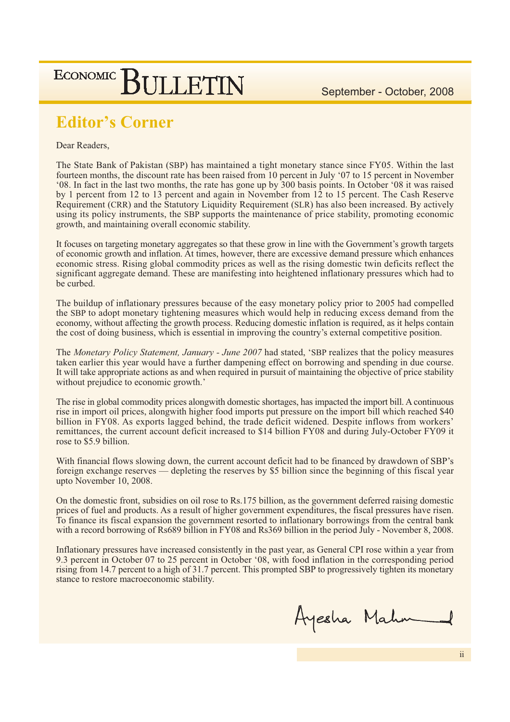September - October, 2008

### **ECONOMIC SULLETIN**

### **Editor's Corner**

#### Dear Readers,

The State Bank of Pakistan (SBP) has maintained a tight monetary stance since FY05. Within the last fourteen months, the discount rate has been raised from 10 percent in July '07 to 15 percent in November '08. In fact in the last two months, the rate has gone up by 300 basis points. In October '08 it was raised by 1 percent from 12 to 13 percent and again in November from 12 to 15 percent. The Cash Reserve Requirement (CRR) and the Statutory Liquidity Requirement (SLR) has also been increased. By actively using its policy instruments, the SBP supports the maintenance of price stability, promoting economic growth, and maintaining overall economic stability.

It focuses on targeting monetary aggregates so that these grow in line with the Government's growth targets of economic growth and inflation. At times, however, there are excessive demand pressure which enhances economic stress. Rising global commodity prices as well as the rising domestic twin deficits reflect the significant aggregate demand. These are manifesting into heightened inflationary pressures which had to be curbed.

The buildup of inflationary pressures because of the easy monetary policy prior to 2005 had compelled the SBP to adopt monetary tightening measures which would help in reducing excess demand from the economy, without affecting the growth process. Reducing domestic inflation is required, as it helps contain the cost of doing business, which is essential in improving the country's external competitive position.

The Monetary Policy Statement, January - June 2007 had stated, 'SBP realizes that the policy measures taken earlier this year would have a further dampening effect on borrowing and spending in due course. It will take appropriate actions as and when required in pursuit of maintaining the objective of price stability without prejudice to economic growth.'

The rise in global commodity prices along with domestic shortages, has impacted the import bill. A continuous rise in import oil prices, alongwith higher food imports put pressure on the import bill which reached \$40 billion in FY08. As exports lagged behind, the trade deficit widened. Despite inflows from workers' remittances, the current account deficit increased to \$14 billion FY08 and during July-October FY09 it rose to \$5.9 billion.

With financial flows slowing down, the current account deficit had to be financed by drawdown of SBP's foreign exchange reserves — depleting the reserves by \$5 billion since the beginning of this fiscal year upto November 10, 2008.

On the domestic front, subsidies on oil rose to Rs.175 billion, as the government deferred raising domestic prices of fuel and products. As a result of higher government expenditures, the fiscal pressures have risen. To finance its fiscal expansion the government resorted to inflationary borrowings from the central bank with a record borrowing of Rs689 billion in FY08 and Rs369 billion in the period July - November 8, 2008.

Inflationary pressures have increased consistently in the past year, as General CPI rose within a year from 9.3 percent in October 07 to 25 percent in October '08, with food inflation in the corresponding period rising from 14.7 percent to a high of 31.7 percent. This prompted SBP to progressively tighten its monetary stance to restore macroeconomic stability.

Ayesha Mahm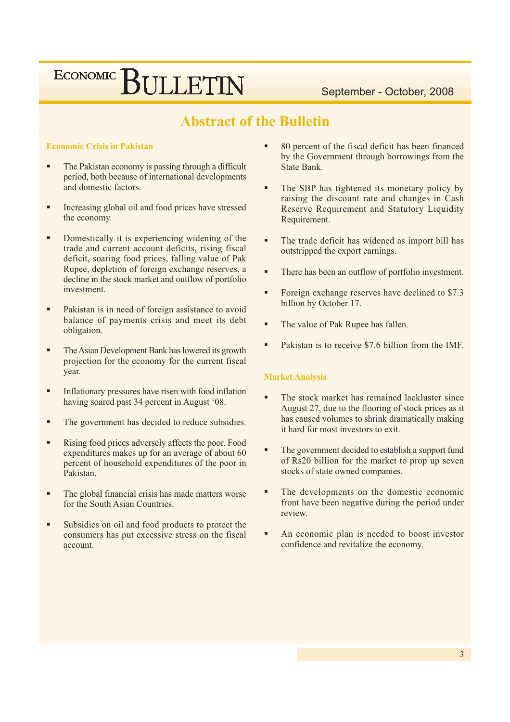September - October, 2008

### **Abstract of the Bulletin**

#### **Economic Crisis in Pakistan**

- The Pakistan economy is passing through a difficult period, both because of international developments and domestic factors.
- Increasing global oil and food prices have stressed the economy.
- Domestically it is experiencing widening of the trade and current account deficits, rising fiscal deficit, soaring food prices, falling value of Pak Rupee, depletion of foreign exchange reserves, a decline in the stock market and outflow of portfolio investment
- Pakistan is in need of foreign assistance to avoid balance of payments crisis and meet its debt obligation.
- The Asian Development Bank has lowered its growth projection for the economy for the current fiscal year.
- Inflationary pressures have risen with food inflation having soared past 34 percent in August '08.
- The government has decided to reduce subsidies.
- Rising food prices adversely affects the poor. Food expenditures makes up for an average of about 60 percent of household expenditures of the poor in Pakistan.
- The global financial crisis has made matters worse for the South Asian Countries.
- Subsidies on oil and food products to protect the consumers has put excessive stress on the fiscal account
- 80 percent of the fiscal deficit has been financed by the Government through borrowings from the State Bank.
- The SBP has tightened its monetary policy by raising the discount rate and changes in Cash Reserve Requirement and Statutory Liquidity Requirement.
- The trade deficit has widened as import bill has outstripped the export earnings.
- There has been an outflow of portfolio investment.
- Foreign exchange reserves have declined to \$7.3 billion by October 17.
- The value of Pak Rupee has fallen.
- Pakistan is to receive \$7.6 billion from the IMF.

#### **Market Analysis**

- The stock market has remained lackluster since August 27, due to the flooring of stock prices as it has caused volumes to shrink dramatically making it hard for most investors to exit.
- The government decided to establish a support fund of Rs20 billion for the market to prop up seven stocks of state owned companies.
- The developments on the domestic economic front have been negative during the period under review
- An economic plan is needed to boost investor confidence and revitalize the economy.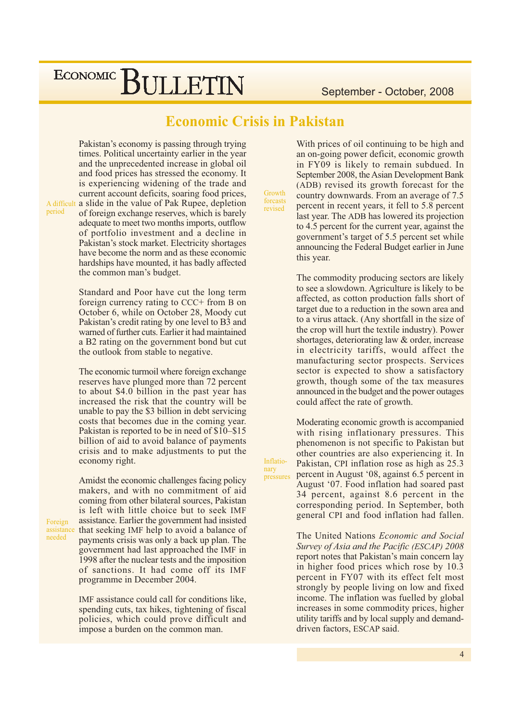September - October, 2008

### **Economic Crisis in Pakistan**

Pakistan's economy is passing through trying times. Political uncertainty earlier in the year and the unprecedented increase in global oil and food prices has stressed the economy. It is experiencing widening of the trade and current account deficits, soaring food prices, A difficult a slide in the value of Pak Rupee, depletion of foreign exchange reserves, which is barely adequate to meet two months imports, outflow of portfolio investment and a decline in Pakistan's stock market. Electricity shortages have become the norm and as these economic hardships have mounted, it has badly affected

> Standard and Poor have cut the long term foreign currency rating to CCC+ from B on October 6, while on October 28, Moody cut Pakistan's credit rating by one level to B3 and warned of further cuts. Earlier it had maintained a B2 rating on the government bond but cut the outlook from stable to negative.

the common man's budget.

The economic turmoil where foreign exchange reserves have plunged more than 72 percent to about \$4.0 billion in the past year has increased the risk that the country will be unable to pay the \$3 billion in debt servicing costs that becomes due in the coming year. Pakistan is reported to be in need of \$10–\$15 billion of aid to avoid balance of payments crisis and to make adjustments to put the economy right.

A midst the economic challenges facing policy makers, and with no commitment of aid coming from other bilateral sources, Pakistan is left with little choice but to seek IMF assistance. Earlier the government had insisted assistance that seeking IMF help to avoid a balance of payments crisis was only a back up plan. The government had last approached the IMF in 1998 after the nuclear tests and the imposition of sanctions. It had come off its IMF programme in December 2004.

> IMF assistance could call for conditions like. spending cuts, tax hikes, tightening of fiscal policies, which could prove difficult and impose a burden on the common man.

With prices of oil continuing to be high and an on-going power deficit, economic growth in FY09 is likely to remain subdued. In September 2008, the Asian Development Bank (ADB) revised its growth forecast for the country downwards. From an average of 7.5 percent in recent years, it fell to 5.8 percent last year. The ADB has lowered its projection to 4.5 percent for the current year, against the government's target of 5.5 percent set while announcing the Federal Budget earlier in June this year.

The commodity producing sectors are likely to see a slowdown. Agriculture is likely to be affected, as cotton production falls short of target due to a reduction in the sown area and to a virus attack. (Any shortfall in the size of the crop will hurt the textile industry). Power shortages, deteriorating law & order, increase in electricity tariffs, would affect the manufacturing sector prospects. Services sector is expected to show a satisfactory growth, though some of the tax measures announced in the budget and the power outages could affect the rate of growth.

Moderating economic growth is accompanied with rising inflationary pressures. This phenomenon is not specific to Pakistan but other countries are also experiencing it. In Pakistan, CPI inflation rose as high as 25.3 percent in August '08, against 6.5 percent in August '07. Food inflation had soared past 34 percent, against 8.6 percent in the corresponding period. In September, both general CPI and food inflation had fallen.

The United Nations Economic and Social Survey of Asia and the Pacific (ESCAP) 2008 report notes that Pakistan's main concern lay in higher food prices which rose by 10.3 percent in FY07 with its effect felt most strongly by people living on low and fixed income. The inflation was fuelled by global increases in some commodity prices, higher utility tariffs and by local supply and demanddriven factors, ESCAP said.

Foreign needed

period

nary

Inflatio-

pressures

Growth forcasts revised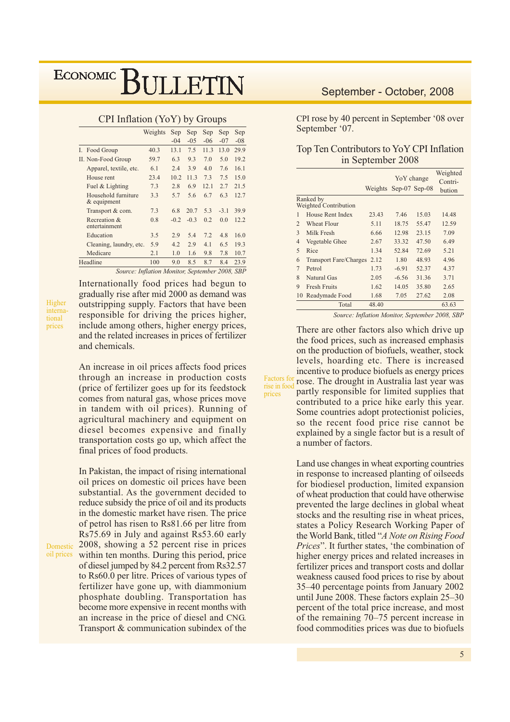|                                               | Weights | Sep    | Sep    | Sep   | Sep    | Sep   |
|-----------------------------------------------|---------|--------|--------|-------|--------|-------|
|                                               |         | $-04$  | $-05$  | $-06$ | $-07$  | $-08$ |
| I. Food Group                                 | 40.3    | 13.1   | 7.5    | 11.3  | 13.0   | 29.9  |
| II. Non-Food Group                            | 59.7    | 6.3    | 9.3    | 7.0   | 5.0    | 19.2  |
| Apparel, textile, etc.                        | 6.1     | 2.4    | 3.9    | 4.0   | 7.6    | 16.1  |
| House rent                                    | 23.4    | 10.2   | 11.3   | 7.3   | 7.5    | 15.0  |
| Fuel & Lighting                               | 7.3     | 2.8    | 6.9    | 12.1  | 2.7    | 21.5  |
| Household furniture<br>$&$ equipment          | 3.3     | 5.7    | 5.6    | 6.7   | 6.3    | 12.7  |
| Transport & com.                              | 7.3     | 6.8    | 20.7   | 5.3   | $-3.1$ | 39.9  |
| Recreation &<br>entertainment                 | 0.8     | $-0.2$ | $-0.3$ | 0.2   | 0.0    | 12.2  |
| Education                                     | 3.5     | 2.9    | 5.4    | 7.2   | 4.8    | 16.0  |
| Cleaning, laundry, etc.                       | 5.9     | 4.2    | 2.9    | 4.1   | 6.5    | 19.3  |
| Medicare                                      | 2.1     | 1.0    | 1.6    | 9.8   | 7.8    | 10.7  |
| Headline                                      | 100     | 9.0    | 8.5    | 8.7   | 8.4    | 23.9  |
| Source: Inflation Monitor September 2008, SRP |         |        |        |       |        |       |

CPI Inflation (YoY) by Groups

Higher international prices

oil prices

Internationally food prices had begun to gradually rise after mid 2000 as demand was outstripping supply. Factors that have been responsible for driving the prices higher. include among others, higher energy prices, and the related increases in prices of fertilizer and chemicals.

An increase in oil prices affects food prices through an increase in production costs (price of fertilizer goes up for its feedstock comes from natural gas, whose prices move in tandem with oil prices). Running of agricultural machinery and equipment on diesel becomes expensive and finally transportation costs go up, which affect the final prices of food products.

In Pakistan, the impact of rising international oil prices on domestic oil prices have been substantial. As the government decided to reduce subsidy the price of oil and its products in the domestic market have risen. The price of petrol has risen to Rs81.66 per litre from Rs75.69 in July and against Rs53.60 early Domestic 2008, showing a 52 percent rise in prices within ten months. During this period, price of diesel jumped by 84.2 percent from Rs32.57 to Rs60.0 per litre. Prices of various types of fertilizer have gone up, with diammonium phosphate doubling. Transportation has become more expensive in recent months with an increase in the price of diesel and CNG. Transport & communication subindex of the

### September - October, 2008

CPI rose by 40 percent in September '08 over September '07.

| Top Ten Contributors to YoY CPI Inflation |
|-------------------------------------------|
| in September 2008                         |

|                                    |                               |       | Yo Y change<br>Weights Sep-07 Sep-08 |       | Weighted<br>Contri- |
|------------------------------------|-------------------------------|-------|--------------------------------------|-------|---------------------|
|                                    |                               |       |                                      |       | bution              |
| Ranked by<br>Weighted Contribution |                               |       |                                      |       |                     |
| 1                                  | House Rent Index              | 23.43 | 7.46                                 | 15.03 | 14.48               |
| $\mathfrak{D}$                     | <b>Wheat Flour</b>            | 5.11  | 18.75                                | 55.47 | 12.59               |
| $\mathcal{E}$                      | Milk Fresh                    | 6.66  | 12.98                                | 23.15 | 7.09                |
| 4                                  | Vegetable Ghee                | 2.67  | 33.32                                | 47.50 | 6.49                |
| $\overline{5}$                     | Rice                          | 1.34  | 52.84                                | 72.69 | 5.21                |
| 6                                  | <b>Transport Fare/Charges</b> | 2.12  | 1.80                                 | 48.93 | 4.96                |
| $\overline{7}$                     | Petrol                        | 1.73  | $-6.91$                              | 52.37 | 4.37                |
| 8                                  | Natural Gas                   | 2.05  | $-6.56$                              | 31.36 | 3.71                |
| 9                                  | <b>Fresh Fruits</b>           | 1.62  | 14.05                                | 35.80 | 2.65                |
|                                    | 10 Readymade Food             | 1.68  | 7.05                                 | 27.62 | 2.08                |
|                                    | Total                         | 48.40 |                                      |       | 63.63               |

Source: Inflation Monitor, September 2008, SBP

There are other factors also which drive up the food prices, such as increased emphasis on the production of biofuels, weather, stock levels, hoarding etc. There is increased incentive to produce biofuels as energy prices rose. The drought in Australia last year was partly responsible for limited supplies that contributed to a price hike early this year. Some countries adopt protectionist policies, so the recent food price rise cannot be explained by a single factor but is a result of a number of factors.

**Factors** for

rise in food

prices

Land use changes in wheat exporting countries in response to increased planting of oilseeds for biodiesel production, limited expansion of wheat production that could have otherwise prevented the large declines in global wheat stocks and the resulting rise in wheat prices, states a Policy Research Working Paper of the World Bank, titled "A Note on Rising Food *Prices*". It further states, 'the combination of higher energy prices and related increases in fertilizer prices and transport costs and dollar weakness caused food prices to rise by about 35–40 percentage points from January 2002 until June 2008. These factors explain 25–30 percent of the total price increase, and most of the remaining  $70-75$  percent increase in food commodities prices was due to biofuels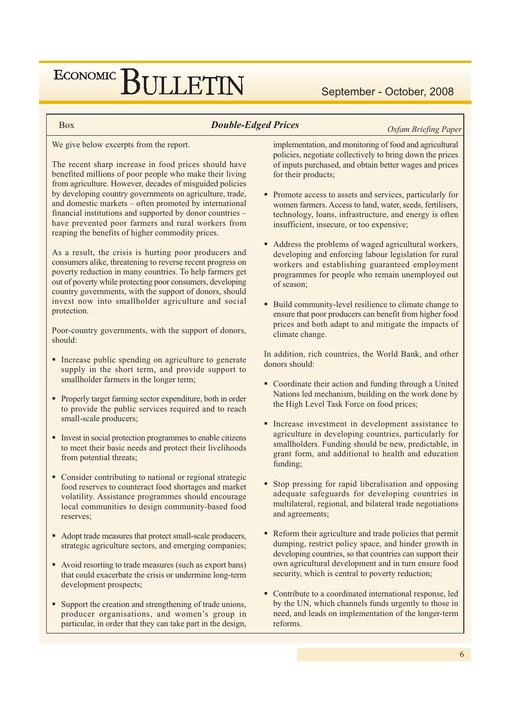September - October, 2008

**Box** 

#### **Double-Edged Prices**

**Oxfam Briefing Paper** 

We give below excerpts from the report.

The recent sharp increase in food prices should have benefited millions of poor people who make their living from agriculture. However, decades of misguided policies by developing country governments on agriculture, trade, and domestic markets – often promoted by international financial institutions and supported by donor countries have prevented poor farmers and rural workers from reaping the benefits of higher commodity prices.

As a result, the crisis is hurting poor producers and consumers alike, threatening to reverse recent progress on poverty reduction in many countries. To help farmers get out of poverty while protecting poor consumers, developing country governments, with the support of donors, should invest now into smallholder agriculture and social protection.

Poor-country governments, with the support of donors, should:

- Increase public spending on agriculture to generate supply in the short term, and provide support to smallholder farmers in the longer term;
- Properly target farming sector expenditure, both in order to provide the public services required and to reach small-scale producers:
- Invest in social protection programmes to enable citizens to meet their basic needs and protect their livelihoods from potential threats;
- Consider contributing to national or regional strategic food reserves to counteract food shortages and market volatility. Assistance programmes should encourage local communities to design community-based food reserves:
- Adopt trade measures that protect small-scale producers, strategic agriculture sectors, and emerging companies;
- Avoid resorting to trade measures (such as export bans) that could exacerbate the crisis or undermine long-term development prospects;
- Support the creation and strengthening of trade unions, producer organisations, and women's group in particular, in order that they can take part in the design,

implementation, and monitoring of food and agricultural policies, negotiate collectively to bring down the prices of inputs purchased, and obtain better wages and prices for their products;

- Promote access to assets and services, particularly for women farmers. Access to land, water, seeds, fertilisers, technology, loans, infrastructure, and energy is often insufficient, insecure, or too expensive;
- Address the problems of waged agricultural workers, developing and enforcing labour legislation for rural workers and establishing guaranteed employment programmes for people who remain unemployed out of season;
- Build community-level resilience to climate change to ensure that poor producers can benefit from higher food prices and both adapt to and mitigate the impacts of climate change.

In addition, rich countries, the World Bank, and other donors should:

- Coordinate their action and funding through a United Nations led mechanism, building on the work done by the High Level Task Force on food prices;
- Increase investment in development assistance to agriculture in developing countries, particularly for smallholders. Funding should be new, predictable, in grant form, and additional to health and education funding;
- Stop pressing for rapid liberalisation and opposing adequate safeguards for developing countries in multilateral, regional, and bilateral trade negotiations and agreements;
- Reform their agriculture and trade policies that permit dumping, restrict policy space, and hinder growth in developing countries, so that countries can support their own agricultural development and in turn ensure food security, which is central to poverty reduction;
- Contribute to a coordinated international response, led by the UN, which channels funds urgently to those in need, and leads on implementation of the longer-term reforms.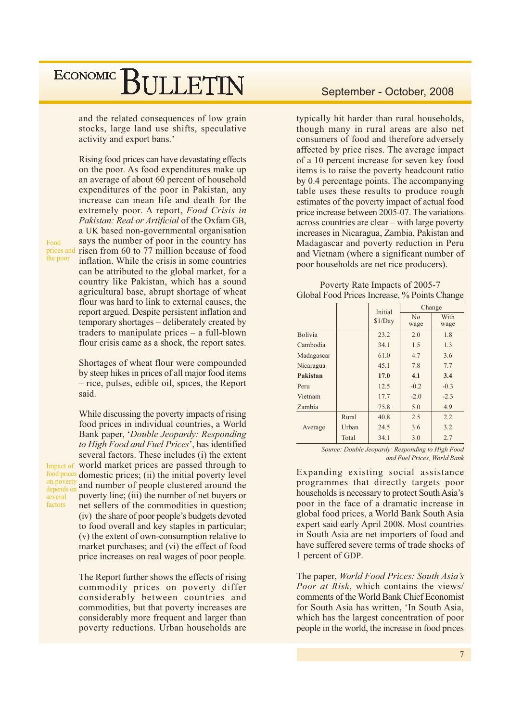and the related consequences of low grain stocks, large land use shifts, speculative activity and export bans.'

Food the poor

Rising food prices can have devastating effects on the poor. As food expenditures make up an average of about 60 percent of household expenditures of the poor in Pakistan, any increase can mean life and death for the extremely poor. A report, Food Crisis in Pakistan: Real or Artificial of the Oxfam GB, a UK based non-governmental organisation says the number of poor in the country has prices and risen from 60 to 77 million because of food inflation. While the crisis in some countries can be attributed to the global market, for a country like Pakistan, which has a sound agricultural base, abrupt shortage of wheat flour was hard to link to external causes, the report argued. Despite persistent inflation and temporary shortages – deliberately created by traders to manipulate prices  $-$  a full-blown flour crisis came as a shock, the report sates.

> Shortages of wheat flour were compounded by steep hikes in prices of all major food items - rice, pulses, edible oil, spices, the Report said.

> While discussing the poverty impacts of rising

on poverty depends on several factors

food prices in individual countries, a World Bank paper, 'Double Jeopardy: Responding to High Food and Fuel Prices', has identified several factors. These includes (i) the extent Impact of world market prices are passed through to food prices domestic prices; (ii) the initial poverty level and number of people clustered around the poverty line; (iii) the number of net buyers or net sellers of the commodities in question; (iv) the share of poor people's budgets devoted to food overall and key staples in particular; (v) the extent of own-consumption relative to market purchases; and (vi) the effect of food price increases on real wages of poor people.

> The Report further shows the effects of rising commodity prices on poverty differ considerably between countries and commodities, but that poverty increases are considerably more frequent and larger than poverty reductions. Urban households are

#### September - October, 2008

typically hit harder than rural households, though many in rural areas are also net consumers of food and therefore adversely affected by price rises. The average impact of a 10 percent increase for seven key food items is to raise the poverty headcount ratio by 0.4 percentage points. The accompanying table uses these results to produce rough estimates of the poverty impact of actual food price increase between 2005-07. The variations  $across$  countries are clear – with large poverty increases in Nicaragua, Zambia, Pakistan and Madagascar and poverty reduction in Peru and Vietnam (where a significant number of poor households are net rice producers).

Poverty Rate Impacts of 2005-7 Global Food Prices Increase, % Points Change

|                |       | Initial | Change                 |              |  |
|----------------|-------|---------|------------------------|--------------|--|
|                |       | \$1/Day | N <sub>0</sub><br>wage | With<br>wage |  |
| <b>Bolivia</b> |       | 23.2    | 2.0                    | 1.8          |  |
| Cambodia       |       | 34.1    | 1.5                    | 1.3          |  |
| Madagascar     |       | 61.0    | 4.7                    | 3.6          |  |
| Nicaragua      |       | 45.1    | 7.8                    | 7.7          |  |
| Pakistan       |       | 17.0    | 4.1                    | 3.4          |  |
| Peru           |       | 12.5    | $-0.2$                 | $-0.3$       |  |
| Vietnam        |       | 17.7    | $-2.0$                 | $-2.3$       |  |
| Zambia         |       | 75.8    | 5.0                    | 4.9          |  |
|                | Rural | 40.8    | 2.5                    | 2.2          |  |
| Average        | Urban | 24.5    | 3.6                    | 3.2          |  |
|                | Total | 34.1    | 3.0                    | 2.7          |  |

Source: Double Jeopardy: Responding to High Food and Fuel Prices. World Bank

Expanding existing social assistance programmes that directly targets poor households is necessary to protect South Asia's poor in the face of a dramatic increase in global food prices, a World Bank South Asia expert said early April 2008. Most countries in South Asia are net importers of food and have suffered severe terms of trade shocks of 1 percent of GDP.

The paper, World Food Prices: South Asia's *Poor at Risk*, which contains the views/ comments of the World Bank Chief Economist for South Asia has written. 'In South Asia. which has the largest concentration of poor people in the world, the increase in food prices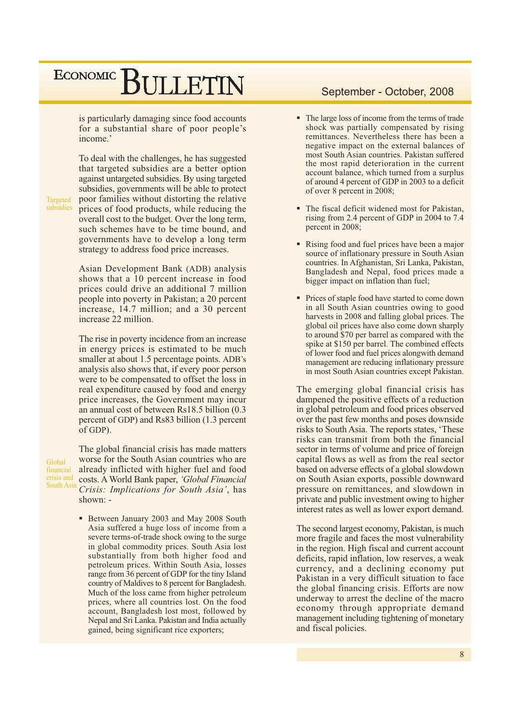is particularly damaging since food accounts for a substantial share of poor people's income.'

To deal with the challenges, he has suggested that targeted subsidies are a better option against untargeted subsidies. By using targeted subsidies, governments will be able to protect poor families without distorting the relative prices of food products, while reducing the overall cost to the budget. Over the long term, such schemes have to be time bound, and governments have to develop a long term strategy to address food price increases.

Asian Development Bank (ADB) analysis shows that a 10 percent increase in food prices could drive an additional 7 million people into poverty in Pakistan; a 20 percent increase, 14.7 million; and a 30 percent increase 22 million.

The rise in poverty incidence from an increase in energy prices is estimated to be much smaller at about 1.5 percentage points. ADB's analysis also shows that, if every poor person were to be compensated to offset the loss in real expenditure caused by food and energy price increases, the Government may incur an annual cost of between Rs18.5 billion (0.3) percent of GDP) and Rs83 billion (1.3 percent of GDP).

Global financial crisis and South Asia

Targeted subsidies

> The global financial crisis has made matters worse for the South Asian countries who are already inflicted with higher fuel and food costs. A World Bank paper, 'Global Financial Crisis: Implications for South Asia', has shown: -

• Between January 2003 and May 2008 South Asia suffered a huge loss of income from a severe terms-of-trade shock owing to the surge in global commodity prices. South Asia lost substantially from both higher food and petroleum prices. Within South Asia, losses range from 36 percent of GDP for the tiny Island country of Maldives to 8 percent for Bangladesh. Much of the loss came from higher petroleum prices, where all countries lost. On the food account, Bangladesh lost most, followed by Nepal and Sri Lanka. Pakistan and India actually gained, being significant rice exporters;

#### September - October, 2008

- The large loss of income from the terms of trade shock was partially compensated by rising remittances. Nevertheless there has been a negative impact on the external balances of most South Asian countries. Pakistan suffered the most rapid deterioration in the current account balance, which turned from a surplus of around 4 percent of GDP in 2003 to a deficit of over 8 percent in 2008;
- The fiscal deficit widened most for Pakistan, rising from 2.4 percent of GDP in 2004 to 7.4 percent in 2008;
- Rising food and fuel prices have been a major source of inflationary pressure in South Asian countries. In Afghanistan, Sri Lanka, Pakistan, Bangladesh and Nepal, food prices made a bigger impact on inflation than fuel;
- Prices of staple food have started to come down in all South Asian countries owing to good harvests in 2008 and falling global prices. The global oil prices have also come down sharply to around \$70 per barrel as compared with the spike at \$150 per barrel. The combined effects of lower food and fuel prices alongwith demand management are reducing inflationary pressure in most South Asian countries except Pakistan.

The emerging global financial crisis has dampened the positive effects of a reduction in global petroleum and food prices observed over the past few months and poses downside risks to South Asia. The reports states, 'These risks can transmit from both the financial sector in terms of volume and price of foreign capital flows as well as from the real sector based on adverse effects of a global slowdown on South Asian exports, possible downward pressure on remittances, and slowdown in private and public investment owing to higher interest rates as well as lower export demand.

The second largest economy, Pakistan, is much more fragile and faces the most vulnerability in the region. High fiscal and current account deficits, rapid inflation, low reserves, a weak currency, and a declining economy put Pakistan in a very difficult situation to face the global financing crisis. Efforts are now underway to arrest the decline of the macro economy through appropriate demand management including tightening of monetary and fiscal policies.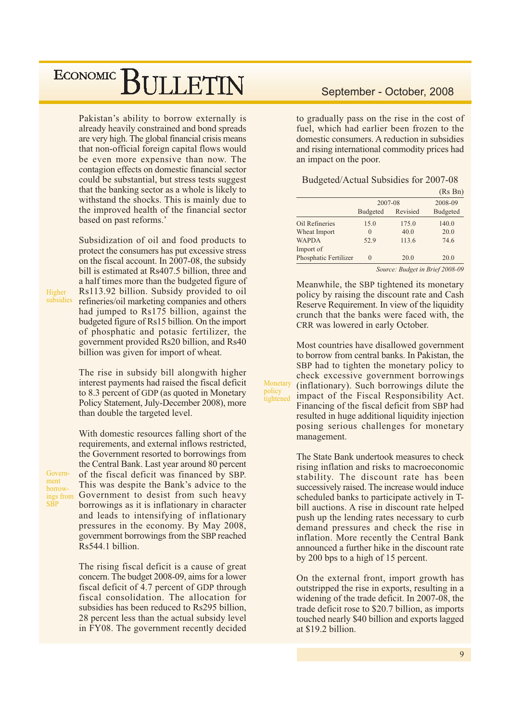Pakistan's ability to borrow externally is already heavily constrained and bond spreads are very high. The global financial crisis means that non-official foreign capital flows would be even more expensive than now. The contagion effects on domestic financial sector could be substantial, but stress tests suggest that the banking sector as a whole is likely to withstand the shocks. This is mainly due to the improved health of the financial sector based on past reforms.'

Subsidization of oil and food products to protect the consumers has put excessive stress on the fiscal account. In 2007-08, the subsidy bill is estimated at Rs407.5 billion, three and a half times more than the budgeted figure of Rs113.92 billion. Subsidy provided to oil refineries/oil marketing companies and others had jumped to Rs175 billion, against the budgeted figure of Rs15 billion. On the import of phosphatic and potasic fertilizer, the government provided Rs20 billion, and Rs40 billion was given for import of wheat.

The rise in subsidy bill alongwith higher interest payments had raised the fiscal deficit to 8.3 percent of GDP (as quoted in Monetary Policy Statement, July-December 2008), more than double the targeted level.

With domestic resources falling short of the

Government borrowings from<br>SBP

Higher

subsidies

requirements, and external inflows restricted, the Government resorted to borrowings from the Central Bank. Last year around 80 percent of the fiscal deficit was financed by SBP. This was despite the Bank's advice to the Government to desist from such heavy borrowings as it is inflationary in character and leads to intensifying of inflationary pressures in the economy. By May 2008, government borrowings from the SBP reached Rs544.1 billion.

The rising fiscal deficit is a cause of great concern. The budget 2008-09, aims for a lower fiscal deficit of 4.7 percent of GDP through fiscal consolidation. The allocation for subsidies has been reduced to Rs295 billion, 28 percent less than the actual subsidy level in FY08. The government recently decided to gradually pass on the rise in the cost of fuel, which had earlier been frozen to the domestic consumers. A reduction in subsidies and rising international commodity prices had an impact on the poor.

|                       |          |          | (Rs Bn) |  |  |
|-----------------------|----------|----------|---------|--|--|
|                       |          | 2007-08  |         |  |  |
|                       | Budgeted | Revisied |         |  |  |
| Oil Refineries        | 15.0     | 175.0    | 140.0   |  |  |
| Wheat Import          | $\Omega$ | 40.0     | 20.0    |  |  |
| <b>WAPDA</b>          | 52.9     | 113.6    | 74.6    |  |  |
| Import of             |          |          |         |  |  |
| Phosphatic Fertilizer | $\Omega$ | 20.0     | 20.0    |  |  |
|                       |          |          |         |  |  |

Source: Budget in Brief 2008-09

Meanwhile, the SBP tightened its monetary policy by raising the discount rate and Cash Reserve Requirement. In view of the liquidity crunch that the banks were faced with, the CRR was lowered in early October.

Most countries have disallowed government to borrow from central banks. In Pakistan, the SBP had to tighten the monetary policy to check excessive government borrowings (inflationary). Such borrowings dilute the impact of the Fiscal Responsibility Act. Financing of the fiscal deficit from SBP had resulted in huge additional liquidity injection posing serious challenges for monetary management.

Monetary

tightened

policy

The State Bank undertook measures to check rising inflation and risks to macroeconomic stability. The discount rate has been successively raised. The increase would induce scheduled banks to participate actively in Tbill auctions. A rise in discount rate helped push up the lending rates necessary to curb demand pressures and check the rise in inflation. More recently the Central Bank announced a further hike in the discount rate by 200 bps to a high of 15 percent.

On the external front, import growth has outstripped the rise in exports, resulting in a widening of the trade deficit. In 2007-08, the trade deficit rose to \$20.7 billion, as imports touched nearly \$40 billion and exports lagged at  $$19.2 billion$ .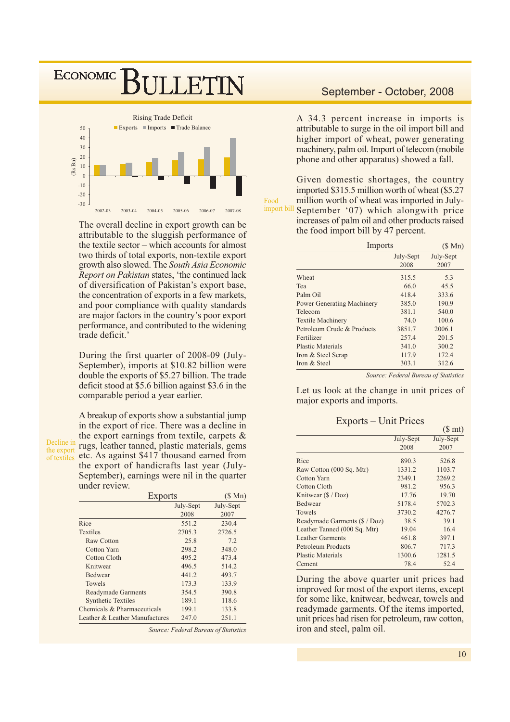

The overall decline in export growth can be attributable to the sluggish performance of the textile sector  $-$  which accounts for almost two thirds of total exports, non-textile export growth also slowed. The South Asia Economic Report on Pakistan states, 'the continued lack of diversification of Pakistan's export base, the concentration of exports in a few markets, and poor compliance with quality standards are major factors in the country's poor export performance, and contributed to the widening trade deficit.'

During the first quarter of 2008-09 (July-September), imports at \$10.82 billion were double the exports of \$5.27 billion. The trade deficit stood at \$5.6 billion against \$3.6 in the comparable period a year earlier.

A breakup of exports show a substantial jump in the export of rice. There was a decline in the export earnings from textile, carpets  $\&$ Decline in rugs, leather tanned, plastic materials, gems etc. As against \$417 thousand earned from of textiles the export of handicrafts last year (July-September), earnings were nil in the quarter under review.

| Exports                        | (S Mn)    |           |
|--------------------------------|-----------|-----------|
|                                | July-Sept | July-Sept |
|                                | 2008      | 2007      |
| Rice                           | 551.2     | 230.4     |
| <b>Textiles</b>                | 2705.3    | 2726.5    |
| Raw Cotton                     | 25.8      | 7.2       |
| Cotton Yarn                    | 298.2     | 348.0     |
| Cotton Cloth                   | 495.2     | 473.4     |
| Knitwear                       | 496.5     | 514.2     |
| <b>Bedwear</b>                 | 441.2     | 493.7     |
| <b>Towels</b>                  | 173.3     | 133.9     |
| Readymade Garments             | 354.5     | 390.8     |
| <b>Synthetic Textiles</b>      | 189.1     | 118.6     |
| Chemicals & Pharmaceuticals    | 199.1     | 133.8     |
| Leather & Leather Manufactures | 247.0     | 251.1     |

Source: Federal Bureau of Statistics

#### September - October, 2008

A 34.3 percent increase in imports is attributable to surge in the oil import bill and higher import of wheat, power generating machinery, palm oil. Import of telecom (mobile) phone and other apparatus) showed a fall.

Given domestic shortages, the country imported \$315.5 million worth of wheat (\$5.27) million worth of wheat was imported in July-Food import bill September '07) which alongwith price increases of palm oil and other products raised the food import bill by 47 percent.

| Imports                           | (S Mn)    |           |
|-----------------------------------|-----------|-----------|
|                                   | July-Sept | July-Sept |
|                                   | 2008      | 2007      |
| Wheat                             | 315.5     | 5.3       |
| Tea                               | 66.0      | 45.5      |
| Palm Oil                          | 418.4     | 333.6     |
| <b>Power Generating Machinery</b> | 385.0     | 190.9     |
| Telecom                           | 381.1     | 540.0     |
| <b>Textile Machinery</b>          | 74.0      | 100.6     |
| Petroleum Crude & Products        | 3851.7    | 2006.1    |
| Fertilizer                        | 257.4     | 201.5     |
| <b>Plastic Materials</b>          | 341.0     | 300.2     |
| Iron & Steel Scrap                | 117.9     | 172.4     |
| Iron & Steel                      | 303.1     | 312.6     |

Source: Federal Bureau of Statistics

 $(S \text{ mt})$ 

Let us look at the change in unit prices of major exports and imports.

Exports – Unit Prices

|                                       |           | $(\psi$ and $\eta$ |
|---------------------------------------|-----------|--------------------|
|                                       | July-Sept | July-Sept          |
|                                       | 2008      | 2007               |
| Rice                                  | 890.3     | 526.8              |
| Raw Cotton (000 Sq. Mtr)              | 1331.2    | 1103.7             |
| Cotton Yarn                           | 2349.1    | 2269.2             |
| Cotton Cloth                          | 981.2     | 956.3              |
| Knitwear $(\frac{f}{g} / \text{Doz})$ | 17.76     | 19.70              |
| <b>Bedwear</b>                        | 5178.4    | 5702.3             |
| <b>Towels</b>                         | 3730.2    | 4276.7             |
| Readymade Garments (\$ / Doz)         | 38.5      | 39.1               |
| Leather Tanned (000 Sq. Mtr)          | 19.04     | 16.4               |
| <b>Leather Garments</b>               | 461.8     | 397.1              |
| Petroleum Products                    | 806.7     | 717.3              |
| <b>Plastic Materials</b>              | 1300.6    | 1281.5             |
| Cement                                | 78.4      | 52.4               |
|                                       |           |                    |

During the above quarter unit prices had improved for most of the export items, except for some like, knitwear, bedwear, towels and readymade garments. Of the items imported, unit prices had risen for petroleum, raw cotton, iron and steel, palm oil.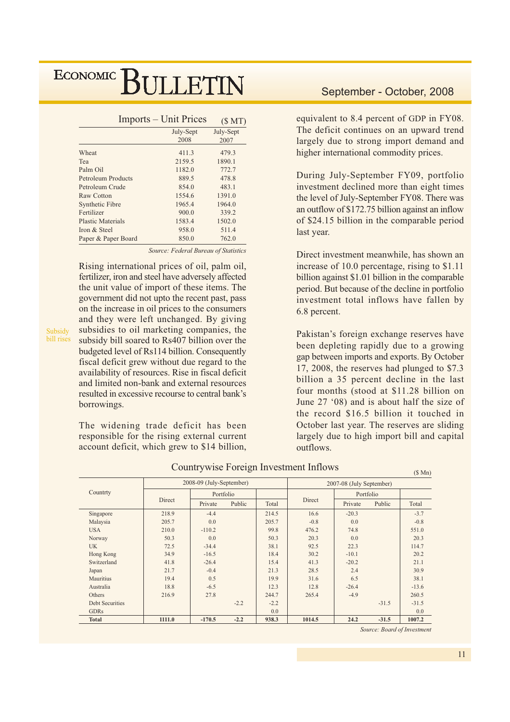| Imports – Unit Prices |           |
|-----------------------|-----------|
| July-Sept             | July-Sept |
| 2008                  | 2007      |
| 411.3                 | 479.3     |
| 2159.5                | 1890.1    |
| 1182.0                | 772.7     |
| 889.5                 | 478.8     |
| 854.0                 | 483.1     |
| 1554.6                | 1391.0    |
| 1965.4                | 1964.0    |
| 900.0                 | 339.2     |
| 1583.4                | 1502.0    |
| 958.0                 | 511.4     |
| 850.0                 | 762.0     |
|                       |           |

Source: Federal Bureau of Statistics

Rising international prices of oil, palm oil, fertilizer, iron and steel have adversely affected the unit value of import of these items. The government did not upto the recent past, pass on the increase in oil prices to the consumers and they were left unchanged. By giving subsidies to oil marketing companies, the subsidy bill soared to Rs407 billion over the budgeted level of Rs114 billion. Consequently fiscal deficit grew without due regard to the availability of resources. Rise in fiscal deficit and limited non-bank and external resources resulted in excessive recourse to central bank's borrowings.

The widening trade deficit has been responsible for the rising external current account deficit, which grew to \$14 billion,

#### September - October, 2008

equivalent to 8.4 percent of GDP in FY08. The deficit continues on an upward trend largely due to strong import demand and higher international commodity prices.

During July-September FY09, portfolio investment declined more than eight times the level of July-September FY08. There was an outflow of \$172.75 billion against an inflow of \$24.15 billion in the comparable period last year.

Direct investment meanwhile, has shown an increase of 10.0 percentage, rising to \$1.11 billion against \$1.01 billion in the comparable period. But because of the decline in portfolio investment total inflows have fallen by 6.8 percent.

Pakistan's foreign exchange reserves have been depleting rapidly due to a growing gap between imports and exports. By October 17, 2008, the reserves had plunged to \$7.3 billion a 35 percent decline in the last four months (stood at \$11.28 billion on June 27 '08) and is about half the size of the record \$16.5 billion it touched in October last year. The reserves are sliding largely due to high import bill and capital outflows.

|                        |        |                          |        |        |        |                          |         | $(D$ Mn $)$ |
|------------------------|--------|--------------------------|--------|--------|--------|--------------------------|---------|-------------|
|                        |        | 2008-09 (July-September) |        |        |        | 2007-08 (July September) |         |             |
| Countrty               |        | Portfolio                |        |        |        | Portfolio                |         |             |
|                        | Direct | Private                  | Public | Total  | Direct | Private                  | Public  | Total       |
| Singapore              | 218.9  | $-4.4$                   |        | 214.5  | 16.6   | $-20.3$                  |         | $-3.7$      |
| Malaysia               | 205.7  | 0.0                      |        | 205.7  | $-0.8$ | 0.0                      |         | $-0.8$      |
| <b>USA</b>             | 210.0  | $-110.2$                 |        | 99.8   | 476.2  | 74.8                     |         | 551.0       |
| Norway                 | 50.3   | 0.0                      |        | 50.3   | 20.3   | 0.0                      |         | 20.3        |
| <b>UK</b>              | 72.5   | $-34.4$                  |        | 38.1   | 92.5   | 22.3                     |         | 114.7       |
| Hong Kong              | 34.9   | $-16.5$                  |        | 18.4   | 30.2   | $-10.1$                  |         | 20.2        |
| Switzerland            | 41.8   | $-26.4$                  |        | 15.4   | 41.3   | $-20.2$                  |         | 21.1        |
| Japan                  | 21.7   | $-0.4$                   |        | 21.3   | 28.5   | 2.4                      |         | 30.9        |
| Mauritius              | 19.4   | 0.5                      |        | 19.9   | 31.6   | 6.5                      |         | 38.1        |
| Australia              | 18.8   | $-6.5$                   |        | 12.3   | 12.8   | $-26.4$                  |         | $-13.6$     |
| Others                 | 216.9  | 27.8                     |        | 244.7  | 265.4  | $-4.9$                   |         | 260.5       |
| <b>Debt Securities</b> |        |                          | $-2.2$ | $-2.2$ |        |                          | $-31.5$ | $-31.5$     |
| <b>GDRs</b>            |        |                          |        | 0.0    |        |                          |         | 0.0         |
| <b>Total</b>           | 1111.0 | $-170.5$                 | $-2.2$ | 938.3  | 1014.5 | 24.2                     | $-31.5$ | 1007.2      |

Countrywise Foreign Investment Inflows

Source: Board of Investment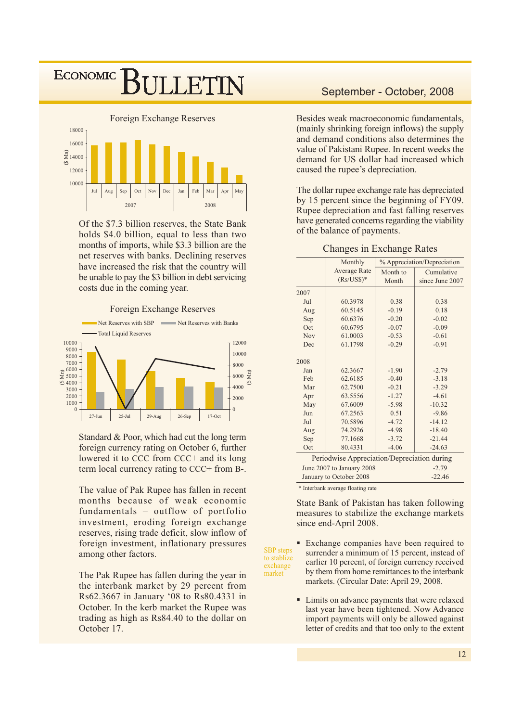### **ECONOMIC ILLETIN**



Of the \$7.3 billion reserves, the State Bank holds \$4.0 billion, equal to less than two months of imports, while \$3.3 billion are the net reserves with banks. Declining reserves have increased the risk that the country will be unable to pay the \$3 billion in debt servicing costs due in the coming year.





Standard & Poor, which had cut the long term foreign currency rating on October 6, further lowered it to CCC from CCC+ and its long term local currency rating to CCC+ from B-.

The value of Pak Rupee has fallen in recent months because of weak economic fundamentals - outflow of portfolio investment, eroding foreign exchange reserves, rising trade deficit, slow inflow of foreign investment, inflationary pressures among other factors.

The Pak Rupee has fallen during the year in the interbank market by 29 percent from Rs62.3667 in January '08 to Rs80.4331 in October. In the kerb market the Rupee was trading as high as Rs84.40 to the dollar on October 17.

#### September - October, 2008

Besides weak macroeconomic fundamentals, (mainly shrinking foreign inflows) the supply and demand conditions also determines the value of Pakistani Rupee. In recent weeks the demand for US dollar had increased which caused the rupee's depreciation.

The dollar rupee exchange rate has depreciated by 15 percent since the beginning of FY09. Rupee depreciation and fast falling reserves have generated concerns regarding the viability of the balance of payments.

#### **Changes in Exchange Rates**

|      | Monthly                                     |          | % Appreciation/Depreciation |
|------|---------------------------------------------|----------|-----------------------------|
|      | <b>Average Rate</b>                         | Month to | Cumulative                  |
|      | $(Rs/US$)*$                                 | Month    | since June 2007             |
| 2007 |                                             |          |                             |
| Jul  | 60.3978                                     | 0.38     | 0.38                        |
| Aug  | 60.5145                                     | $-0.19$  | 0.18                        |
| Sep  | 60.6376                                     | $-0.20$  | $-0.02$                     |
| Oct  | 60.6795                                     | $-0.07$  | $-0.09$                     |
| Nov  | 61.0003                                     | $-0.53$  | $-0.61$                     |
| Dec  | 61.1798                                     | $-0.29$  | $-0.91$                     |
| 2008 |                                             |          |                             |
| Jan  | 62.3667                                     | $-1.90$  | $-2.79$                     |
| Feb  | 62.6185                                     | $-0.40$  | $-3.18$                     |
| Mar  | 62.7500                                     | $-0.21$  | $-3.29$                     |
| Apr  | 63.5556                                     | $-1.27$  | $-4.61$                     |
| May  | 67.6009                                     | $-5.98$  | $-10.32$                    |
| Jun  | 67.2563                                     | 0.51     | $-9.86$                     |
| Jul  | 70.5896                                     | $-4.72$  | $-14.12$                    |
| Aug  | 74.2926                                     | $-4.98$  | $-18.40$                    |
| Sep  | 77.1668                                     | $-3.72$  | $-21.44$                    |
| Oct  | 80.4331                                     | $-4.06$  | $-24.63$                    |
|      | Periodwise Appreciation/Depreciation during |          |                             |
|      | June 2007 to January 2008                   |          | $-2.79$                     |
|      | January to October 2008                     |          | $-22.46$                    |

\* Interbank average floating rate

market

State Bank of Pakistan has taken following measures to stabilize the exchange markets since end-April 2008.

- Exchange companies have been required to  $\blacksquare$ **SBP** steps surrender a minimum of 15 percent, instead of to stablize earlier 10 percent, of foreign currency received exchange by them from home remittances to the interbank markets. (Circular Date: April 29, 2008.
	- Limits on advance payments that were relaxed last year have been tightened. Now Advance import payments will only be allowed against letter of credits and that too only to the extent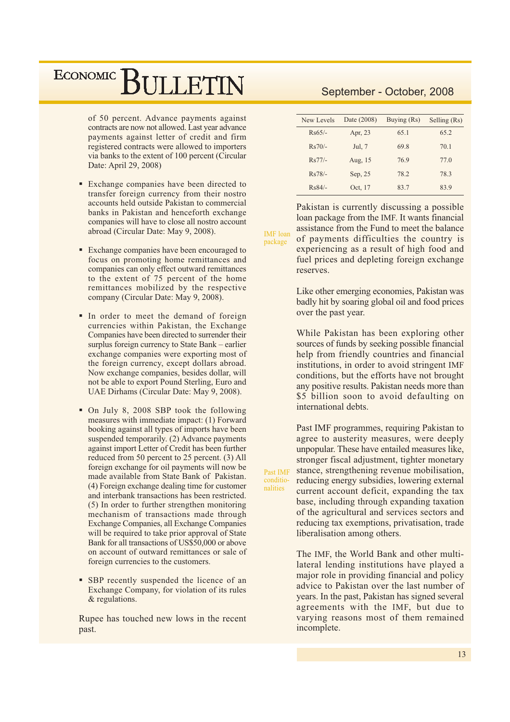of 50 percent. Advance payments against contracts are now not allowed. Last year advance payments against letter of credit and firm registered contracts were allowed to importers via banks to the extent of 100 percent (Circular Date: April 29, 2008)

- Exchange companies have been directed to transfer foreign currency from their nostro accounts held outside Pakistan to commercial banks in Pakistan and henceforth exchange companies will have to close all nostro account abroad (Circular Date: May 9, 2008).
- Exchange companies have been encouraged to focus on promoting home remittances and companies can only effect outward remittances to the extent of 75 percent of the home remittances mobilized by the respective company (Circular Date: May 9, 2008).
- In order to meet the demand of foreign currencies within Pakistan, the Exchange Companies have been directed to surrender their surplus foreign currency to State Bank – earlier exchange companies were exporting most of the foreign currency, except dollars abroad. Now exchange companies, besides dollar, will not be able to export Pound Sterling, Euro and UAE Dirhams (Circular Date: May 9, 2008).
- On July 8, 2008 SBP took the following measures with immediate impact: (1) Forward booking against all types of imports have been suspended temporarily. (2) Advance payments against import Letter of Credit has been further reduced from 50 percent to 25 percent. (3) All foreign exchange for oil payments will now be made available from State Bank of Pakistan. (4) Foreign exchange dealing time for customer and interbank transactions has been restricted. (5) In order to further strengthen monitoring mechanism of transactions made through Exchange Companies, all Exchange Companies will be required to take prior approval of State Bank for all transactions of US\$50,000 or above on account of outward remittances or sale of foreign currencies to the customers.
- SBP recently suspended the licence of an Exchange Company, for violation of its rules & regulations.

Rupee has touched new lows in the recent past.

### September - October, 2008

| New Levels | Date (2008) | Buying (Rs) | Selling (Rs) |
|------------|-------------|-------------|--------------|
| $Rs65/-$   | Apr. 23     | 65.1        | 65.2         |
| $Rs70/-$   | Jul, 7      | 69.8        | 70.1         |
| $Rs77/-$   | Aug, 15     | 76.9        | 77.0         |
| $Rs78/-$   | Sep. 25     | 78.2        | 78.3         |
| $Rs84/-$   | Oct. 17     | 83.7        | 83.9         |

**IMF** loan package

Past IMF

conditio-

nalities

Pakistan is currently discussing a possible loan package from the IMF. It wants financial assistance from the Fund to meet the balance of payments difficulties the country is experiencing as a result of high food and fuel prices and depleting foreign exchange reserves.

Like other emerging economies, Pakistan was badly hit by soaring global oil and food prices over the past year.

While Pakistan has been exploring other sources of funds by seeking possible financial help from friendly countries and financial institutions, in order to avoid stringent IMF conditions, but the efforts have not brought any positive results. Pakistan needs more than \$5 billion soon to avoid defaulting on international debts.

Past IMF programmes, requiring Pakistan to agree to austerity measures, were deeply unpopular. These have entailed measures like, stronger fiscal adjustment, tighter monetary stance, strengthening revenue mobilisation, reducing energy subsidies, lowering external current account deficit, expanding the tax base, including through expanding taxation of the agricultural and services sectors and reducing tax exemptions, privatisation, trade liberalisation among others.

The IMF, the World Bank and other multilateral lending institutions have played a major role in providing financial and policy advice to Pakistan over the last number of vears. In the past, Pakistan has signed several agreements with the IMF, but due to varying reasons most of them remained incomplete.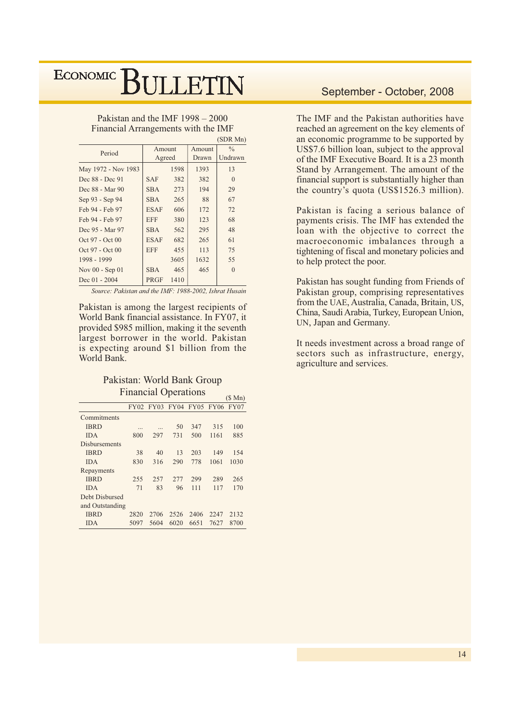Pakistan and the IMF  $1998 - 2000$ Financial Arrangements with the IMF

|                     |             |      |        | (SDR Mn)      |
|---------------------|-------------|------|--------|---------------|
| Period              | Amount      |      | Amount | $\frac{0}{0}$ |
|                     | Agreed      |      | Drawn  | Undrawn       |
| May 1972 - Nov 1983 |             | 1598 | 1393   | 13            |
| Dec 88 - Dec 91     | <b>SAF</b>  | 382  | 382    | $\Omega$      |
| Dec 88 - Mar 90     | <b>SBA</b>  | 273  | 194    | 29            |
| Sep 93 - Sep 94     | <b>SBA</b>  | 265  | 88     | 67            |
| Feb 94 - Feb 97     | <b>ESAF</b> | 606  | 172    | 72            |
| Feb 94 - Feb 97     | <b>EFF</b>  | 380  | 123    | 68            |
| Dec 95 - Mar 97     | <b>SBA</b>  | 562  | 295    | 48            |
| Oct 97 - Oct 00     | <b>ESAF</b> | 682  | 265    | 61            |
| Oct 97 - Oct 00     | <b>EFF</b>  | 455  | 113    | 75            |
| 1998 - 1999         |             | 3605 | 1632   | 55            |
| Nov 00 - Sep 01     | <b>SBA</b>  | 465  | 465    | $\theta$      |
| Dec $01 - 2004$     | <b>PRGF</b> | 1410 |        |               |

Source: Pakistan and the IMF: 1988-2002, Ishrat Husain

Pakistan is among the largest recipients of World Bank financial assistance. In FY07, it provided \$985 million, making it the seventh largest borrower in the world. Pakistan is expecting around \$1 billion from the World Bank.

#### Pakistan: World Bank Group **Financial Operations**

|                      |      |      |      |      |                               | $(S \text{ Mn})$ |
|----------------------|------|------|------|------|-------------------------------|------------------|
|                      |      |      |      |      | FY02 FY03 FY04 FY05 FY06 FY07 |                  |
| Commitments          |      |      |      |      |                               |                  |
| <b>IBRD</b>          |      | .    | 50   | 347  | 315                           | 100              |
| <b>IDA</b>           | 800  | 297  | 731  | 500  | 1161                          | 885              |
| <b>Disbursements</b> |      |      |      |      |                               |                  |
| <b>IBRD</b>          | 38   | 40   | 13   | 203  | 149                           | 154              |
| <b>IDA</b>           | 830  | 316  | 290  | 778  | 1061                          | 1030             |
| Repayments           |      |      |      |      |                               |                  |
| <b>IBRD</b>          | 255  | 257  | 277  | 299  | 289                           | 265              |
| <b>IDA</b>           | 71   | 83   | 96   | 111  | 117                           | 170              |
| Debt Disbursed       |      |      |      |      |                               |                  |
| and Outstanding      |      |      |      |      |                               |                  |
| <b>IBRD</b>          | 2820 | 2706 | 2526 | 2406 | 2247                          | 2132             |
| <b>IDA</b>           | 5097 | 5604 | 6020 | 6651 | 7627                          | 8700             |

#### September - October, 2008

The IMF and the Pakistan authorities have reached an agreement on the key elements of an economic programme to be supported by US\$7.6 billion loan, subject to the approval of the IMF Executive Board. It is a 23 month Stand by Arrangement. The amount of the financial support is substantially higher than the country's quota (US\$1526.3 million).

Pakistan is facing a serious balance of payments crisis. The IMF has extended the loan with the objective to correct the macroeconomic imbalances through a tightening of fiscal and monetary policies and to help protect the poor.

Pakistan has sought funding from Friends of Pakistan group, comprising representatives from the UAE, Australia, Canada, Britain, US, China, Saudi Arabia, Turkey, European Union, UN, Japan and Germany.

It needs investment across a broad range of sectors such as infrastructure, energy, agriculture and services.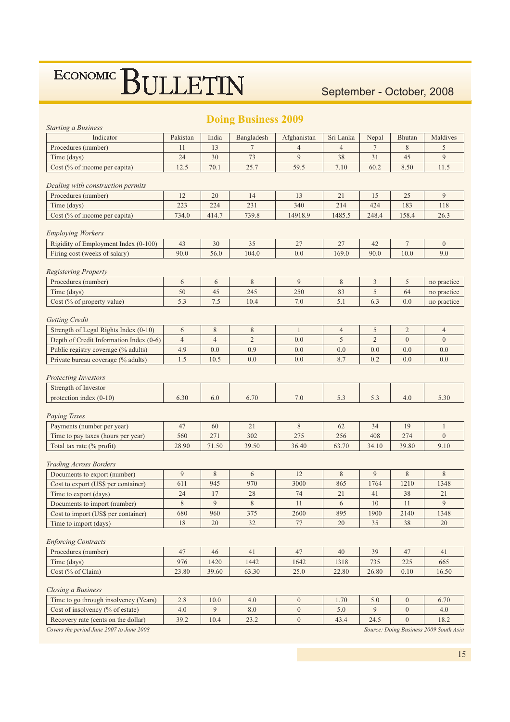### September - October, 2008

| <b>Starting a Business</b>                                       |                |                  | <b>DOING BUSINESS 2009</b> |                  |                |                |                |                                        |
|------------------------------------------------------------------|----------------|------------------|----------------------------|------------------|----------------|----------------|----------------|----------------------------------------|
| Indicator                                                        | Pakistan       | India            | Bangladesh                 | Afghanistan      | Sri Lanka      | Nepal          | <b>Bhutan</b>  | Maldives                               |
| Procedures (number)                                              | 11             | 13               | $\overline{7}$             | $\overline{4}$   | $\overline{4}$ | $\tau$         | 8              | 5                                      |
| Time (days)                                                      | 24             | 30               | 73                         | 9                | 38             | 31             | 45             | 9                                      |
| Cost (% of income per capita)                                    | 12.5           | 70.1             | 25.7                       | 59.5             | 7.10           | 60.2           | 8.50           | 11.5                                   |
|                                                                  |                |                  |                            |                  |                |                |                |                                        |
| Dealing with construction permits                                |                |                  |                            |                  |                |                |                |                                        |
| Procedures (number)                                              | 12             | 20               | 14                         | 13               | 21             | 15             | 25             | 9                                      |
| Time (days)                                                      | 223            | 224              | 231                        | 340              | 214            | 424            | 183            | 118                                    |
| Cost (% of income per capita)                                    | 734.0          | 414.7            | 739.8                      | 14918.9          | 1485.5         | 248.4          | 158.4          | 26.3                                   |
|                                                                  |                |                  |                            |                  |                |                |                |                                        |
| <b>Employing Workers</b><br>Rigidity of Employment Index (0-100) | 43             | 30               | 35                         | 27               | 27             | 42             | $\tau$         | $\boldsymbol{0}$                       |
| Firing cost (weeks of salary)                                    | 90.0           | 56.0             | 104.0                      | 0.0              | 169.0          | 90.0           | 10.0           | 9.0                                    |
|                                                                  |                |                  |                            |                  |                |                |                |                                        |
| <b>Registering Property</b>                                      |                |                  |                            |                  |                |                |                |                                        |
| Procedures (number)                                              | 6              | 6                | $\,$ 8 $\,$                | 9                | $\,$ 8 $\,$    | 3              | 5              | no practice                            |
| Time (days)                                                      | 50             | 45               | 245                        | 250              | 83             | $\sqrt{5}$     | 64             | no practice                            |
| Cost $(\%$ of property value)                                    | 5.3            | 7.5              | 10.4                       | 7.0              | 5.1            | 6.3            | 0.0            | no practice                            |
|                                                                  |                |                  |                            |                  |                |                |                |                                        |
| <b>Getting Credit</b>                                            |                |                  |                            |                  |                |                |                |                                        |
| Strength of Legal Rights Index (0-10)                            | 6              | $\,$ $\,$        | $\,$ $\,$                  | $\mathbf{1}$     | $\overline{4}$ | 5              | $\overline{c}$ | $\overline{4}$                         |
| Depth of Credit Information Index (0-6)                          | $\overline{4}$ | $\overline{4}$   | $\overline{2}$             | 0.0              | 5              | $\overline{2}$ | $\overline{0}$ | $\overline{0}$                         |
| Public registry coverage (% adults)                              | 4.9            | 0.0              | 0.9                        | 0.0              | 0.0            | 0.0            | 0.0            | 0.0                                    |
| Private bureau coverage (% adults)                               | 1.5            | 10.5             | 0.0                        | 0.0              | 8.7            | 0.2            | 0.0            | 0.0                                    |
|                                                                  |                |                  |                            |                  |                |                |                |                                        |
| <b>Protecting Investors</b><br>Strength of Investor              |                |                  |                            |                  |                |                |                |                                        |
| protection index (0-10)                                          | 6.30           | 6.0              | 6.70                       | 7.0              | 5.3            | 5.3            | 4.0            | 5.30                                   |
|                                                                  |                |                  |                            |                  |                |                |                |                                        |
| Paying Taxes                                                     |                |                  |                            |                  |                |                |                |                                        |
| Payments (number per year)                                       | 47             | 60               | 21                         | 8                | 62             | 34             | 19             | $\mathbf{1}$                           |
| Time to pay taxes (hours per year)                               | 560            | 271              | 302                        | 275              | 256            | 408            | 274            | $\boldsymbol{0}$                       |
| Total tax rate (% profit)                                        | 28.90          | 71.50            | 39.50                      | 36.40            | 63.70          | 34.10          | 39.80          | 9.10                                   |
|                                                                  |                |                  |                            |                  |                |                |                |                                        |
| <b>Trading Across Borders</b>                                    |                |                  |                            |                  |                |                |                |                                        |
| Documents to export (number)                                     | 9              | $\,$ 8 $\,$      | 6                          | 12               | $\,$ 8 $\,$    | 9              | 8              | 8                                      |
| Cost to export (US\$ per container)                              | 611            | 945              | 970                        | 3000             | 865            | 1764           | 1210           | 1348                                   |
| Time to export (days)                                            | 24             | 17               | 28                         | 74               | 21             | 41             | 38             | 21                                     |
| Documents to import (number)                                     | $\,8\,$        | $\boldsymbol{9}$ | $\,$ 8 $\,$                | $11\,$           | $\sqrt{6}$     | $10\,$         | $11\,$         | $\overline{9}$                         |
| Cost to import (US\$ per container)                              | 680            | 960              | 375                        | 2600             | 895            | 1900           | 2140           | 1348                                   |
| Time to import (days)                                            | 18             | 20               | 32                         | 77               | 20             | 35             | 38             | 20                                     |
|                                                                  |                |                  |                            |                  |                |                |                |                                        |
| <b>Enforcing Contracts</b>                                       |                |                  |                            |                  |                |                |                |                                        |
| Procedures (number)                                              | 47             | 46               | 41                         | 47               | 40             | 39             | 47             | 41                                     |
| Time (days)                                                      | 976            | 1420             | 1442                       | 1642             | 1318           | 735            | $225\,$        | 665                                    |
| Cost (% of Claim)                                                | 23.80          | 39.60            | 63.30                      | 25.0             | 22.80          | 26.80          | 0.10           | 16.50                                  |
| Closing a Business                                               |                |                  |                            |                  |                |                |                |                                        |
| Time to go through insolvency (Years)                            | 2.8            | 10.0             | 4.0                        | $\mathbf{0}$     | 1.70           | 5.0            | $\mathbf{0}$   | 6.70                                   |
| Cost of insolvency (% of estate)                                 | 4.0            | 9                | 8.0                        | $\overline{0}$   | 5.0            | 9              | $\mathbf{0}$   | 4.0                                    |
| Recovery rate (cents on the dollar)                              | 39.2           | 10.4             | 23.2                       | $\boldsymbol{0}$ | 43.4           | 24.5           | $\mathbf{0}$   | 18.2                                   |
| Covers the period June 2007 to June 2008                         |                |                  |                            |                  |                |                |                | Source: Doing Business 2009 South Asia |

### $0.00$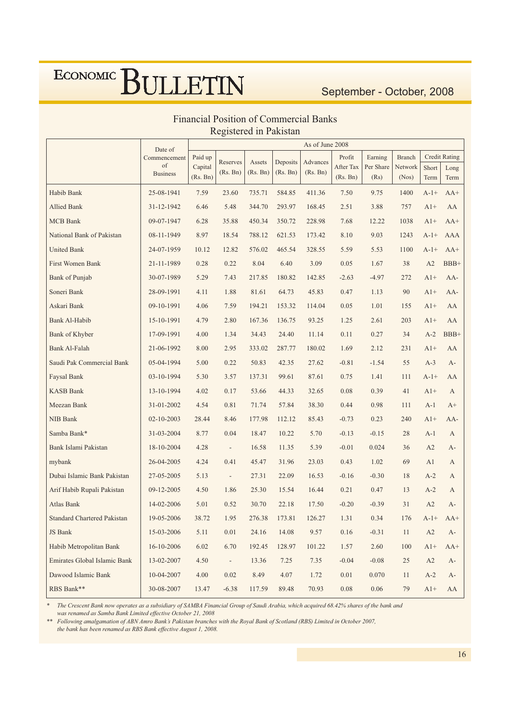### September - October, 2008

|                                    | Date of               | As of June 2008     |                          |          |          |          |                       |                   |                  |               |                      |
|------------------------------------|-----------------------|---------------------|--------------------------|----------|----------|----------|-----------------------|-------------------|------------------|---------------|----------------------|
|                                    | Commencement          | Paid up             | Reserves                 | Assets   | Deposits | Advances | Profit                | Earning           | <b>Branch</b>    |               | <b>Credit Rating</b> |
|                                    | of<br><b>Business</b> | Capital<br>(Rs. Bn) | (Rs. Bn)                 | (Rs. Bn) | (Rs. Bn) | (Rs. Bn) | After Tax<br>(Rs. Bn) | Per Share<br>(Rs) | Network<br>(Nos) | Short<br>Term | Long<br>Term         |
| Habib Bank                         | 25-08-1941            | 7.59                | 23.60                    | 735.71   | 584.85   | 411.36   | 7.50                  | 9.75              | 1400             | $A-1+$        | $AA+$                |
| <b>Allied Bank</b>                 | 31-12-1942            | 6.46                | 5.48                     | 344.70   | 293.97   | 168.45   | 2.51                  | 3.88              | 757              | $A1+$         | AA                   |
| <b>MCB</b> Bank                    | 09-07-1947            | 6.28                | 35.88                    | 450.34   | 350.72   | 228.98   | 7.68                  | 12.22             | 1038             | $A1+$         | $AA+$                |
| National Bank of Pakistan          | 08-11-1949            | 8.97                | 18.54                    | 788.12   | 621.53   | 173.42   | 8.10                  | 9.03              | 1243             | $A-1+$        | <b>AAA</b>           |
| <b>United Bank</b>                 | 24-07-1959            | 10.12               | 12.82                    | 576.02   | 465.54   | 328.55   | 5.59                  | 5.53              | 1100             | $A-1+$        | $AA+$                |
| First Women Bank                   | 21-11-1989            | 0.28                | 0.22                     | 8.04     | 6.40     | 3.09     | 0.05                  | 1.67              | 38               | A2            | BBB+                 |
| Bank of Punjab                     | 30-07-1989            | 5.29                | 7.43                     | 217.85   | 180.82   | 142.85   | $-2.63$               | $-4.97$           | 272              | $A1+$         | $AA-$                |
| Soneri Bank                        | 28-09-1991            | 4.11                | 1.88                     | 81.61    | 64.73    | 45.83    | 0.47                  | 1.13              | 90               | $A1+$         | AA-                  |
| Askari Bank                        | 09-10-1991            | 4.06                | 7.59                     | 194.21   | 153.32   | 114.04   | 0.05                  | 1.01              | 155              | $A1+$         | AA                   |
| Bank Al-Habib                      | 15-10-1991            | 4.79                | 2.80                     | 167.36   | 136.75   | 93.25    | 1.25                  | 2.61              | 203              | $A1+$         | AA                   |
| Bank of Khyber                     | 17-09-1991            | 4.00                | 1.34                     | 34.43    | 24.40    | 11.14    | 0.11                  | 0.27              | 34               | $A-2$         | BBB+                 |
| <b>Bank Al-Falah</b>               | 21-06-1992            | 8.00                | 2.95                     | 333.02   | 287.77   | 180.02   | 1.69                  | 2.12              | 231              | $A1+$         | AA                   |
| Saudi Pak Commercial Bank          | 05-04-1994            | 5.00                | 0.22                     | 50.83    | 42.35    | 27.62    | $-0.81$               | $-1.54$           | 55               | $A-3$         | $A-$                 |
| Faysal Bank                        | 03-10-1994            | 5.30                | 3.57                     | 137.31   | 99.61    | 87.61    | 0.75                  | 1.41              | 111              | $A-1+$        | AA                   |
| <b>KASB Bank</b>                   | 13-10-1994            | 4.02                | 0.17                     | 53.66    | 44.33    | 32.65    | 0.08                  | 0.39              | 41               | $A1+$         | A                    |
| Meezan Bank                        | 31-01-2002            | 4.54                | 0.81                     | 71.74    | 57.84    | 38.30    | 0.44                  | 0.98              | 111              | $A-1$         | $A+$                 |
| NIB Bank                           | 02-10-2003            | 28.44               | 8.46                     | 177.98   | 112.12   | 85.43    | $-0.73$               | 0.23              | 240              | $A1+$         | $AA-$                |
| Samba Bank*                        | 31-03-2004            | 8.77                | 0.04                     | 18.47    | 10.22    | 5.70     | $-0.13$               | $-0.15$           | 28               | $A-1$         | A                    |
| Bank Islami Pakistan               | 18-10-2004            | 4.28                | $\overline{\phantom{a}}$ | 16.58    | 11.35    | 5.39     | $-0.01$               | 0.024             | 36               | A2            | $A-$                 |
| mybank                             | 26-04-2005            | 4.24                | 0.41                     | 45.47    | 31.96    | 23.03    | 0.43                  | 1.02              | 69               | A1            | A                    |
| Dubai Islamic Bank Pakistan        | 27-05-2005            | 5.13                | $\overline{\phantom{a}}$ | 27.31    | 22.09    | 16.53    | $-0.16$               | $-0.30$           | 18               | $A-2$         | A                    |
| Arif Habib Rupali Pakistan         | 09-12-2005            | 4.50                | 1.86                     | 25.30    | 15.54    | 16.44    | 0.21                  | 0.47              | 13               | $A-2$         | A                    |
| Atlas Bank                         | 14-02-2006            | 5.01                | 0.52                     | 30.70    | 22.18    | 17.50    | $-0.20$               | $-0.39$           | 31               | A2            | $A-$                 |
| <b>Standard Chartered Pakistan</b> | 19-05-2006            | 38.72               | 1.95                     | 276.38   | 173.81   | 126.27   | 1.31                  | 0.34              | 176              | $A-1+$        | $AA+$                |
| JS Bank                            | 15-03-2006            | 5.11                | $0.01\,$                 | 24.16    | 14.08    | 9.57     | $0.16\,$              | $-0.31$           | 11               | A2            | $A-$                 |
| Habib Metropolitan Bank            | 16-10-2006            | 6.02                | 6.70                     | 192.45   | 128.97   | 101.22   | 1.57                  | 2.60              | 100              | $A1+$         | $AA+$                |
| Emirates Global Islamic Bank       | 13-02-2007            | 4.50                | $\overline{\phantom{a}}$ | 13.36    | 7.25     | 7.35     | $-0.04$               | $-0.08$           | $25\,$           | A2            | $A-$                 |
| Dawood Islamic Bank                | 10-04-2007            | 4.00                | $0.02\,$                 | 8.49     | 4.07     | 1.72     | $0.01\,$              | 0.070             | 11               | $A-2$         | A-                   |
| RBS Bank**                         | 30-08-2007            | 13.47               | $-6.38$                  | 117.59   | 89.48    | 70.93    | $0.08\,$              | $0.06\,$          | 79               | $A1+$         | AA                   |

### **Financial Position of Commercial Banks** Registered in Pakistan

The Crescent Bank now operates as a subsidiary of SAMBA Financial Group of Saudi Arabia, which acquired 68.42% shares of the bank and was renamed as Samba Bank Limited effective October 21, 2008

Following amalgamation of ABN Amro Bank's Pakistan branches with the Royal Bank of Scotland (RBS) Limited in October 2007, the bank has been renamed as RBS Bank effective August 1, 2008.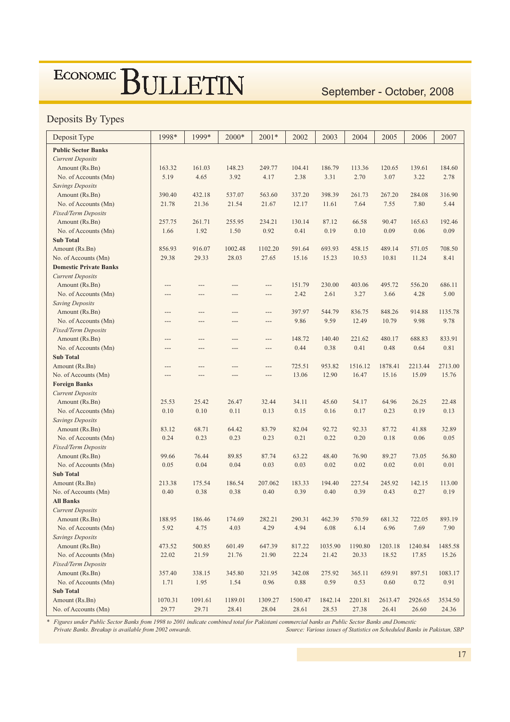### September - October, 2008

### Deposits By Types

| Deposit Type                  | 1998*   | 1999*   | 2000*   | $2001*$  | 2002       | 2003    | 2004    | 2005    | 2006    | 2007    |
|-------------------------------|---------|---------|---------|----------|------------|---------|---------|---------|---------|---------|
| <b>Public Sector Banks</b>    |         |         |         |          |            |         |         |         |         |         |
| <b>Current Deposits</b>       |         |         |         |          |            |         |         |         |         |         |
| Amount (Rs.Bn)                | 163.32  | 161.03  | 148.23  | 249.77   | 104.41     | 186.79  | 113.36  | 120.65  | 139.61  | 184.60  |
| No. of Accounts (Mn)          | 5.19    | 4.65    | 3.92    | 4.17     | 2.38       | 3.31    | 2.70    | 3.07    | 3.22    | 2.78    |
| <b>Savings Deposits</b>       |         |         |         |          |            |         |         |         |         |         |
| Amount (Rs.Bn)                | 390.40  | 432.18  | 537.07  | 563.60   | 337.20     | 398.39  | 261.73  | 267.20  | 284.08  | 316.90  |
| No. of Accounts (Mn)          | 21.78   | 21.36   | 21.54   | 21.67    | 12.17      | 11.61   | 7.64    | 7.55    | 7.80    | 5.44    |
| Fixed/Term Deposits           |         |         |         |          |            |         |         |         |         |         |
| Amount (Rs.Bn)                | 257.75  | 261.71  | 255.95  | 234.21   | 130.14     | 87.12   | 66.58   | 90.47   | 165.63  | 192.46  |
| No. of Accounts (Mn)          | 1.66    | 1.92    | 1.50    | 0.92     | 0.41       | 0.19    | 0.10    | 0.09    | 0.06    | 0.09    |
| <b>Sub Total</b>              |         |         |         |          |            |         |         |         |         |         |
| Amount (Rs.Bn)                | 856.93  | 916.07  | 1002.48 | 1102.20  | 591.64     | 693.93  | 458.15  | 489.14  | 571.05  | 708.50  |
| No. of Accounts (Mn)          | 29.38   | 29.33   | 28.03   | 27.65    | 15.16      | 15.23   | 10.53   | 10.81   | 11.24   | 8.41    |
| <b>Domestic Private Banks</b> |         |         |         |          |            |         |         |         |         |         |
| <b>Current Deposits</b>       |         |         |         |          |            |         |         |         |         |         |
| Amount (Rs.Bn)                | $---$   | $---$   | ---     | ---      | 151.79     | 230.00  | 403.06  | 495.72  | 556.20  | 686.11  |
| No. of Accounts (Mn)          | $---$   | $---$   | ---     | ---      | 2.42       | 2.61    | 3.27    | 3.66    | 4.28    | 5.00    |
| <b>Saving Deposits</b>        |         |         |         |          |            |         |         |         |         |         |
| Amount (Rs.Bn)                | $---$   | $---$   | ---     | ---      | 397.97     | 544.79  | 836.75  | 848.26  | 914.88  | 1135.78 |
| No. of Accounts (Mn)          | $---$   | $---$   | ---     | ---      | 9.86       | 9.59    | 12.49   | 10.79   | 9.98    | 9.78    |
| Fixed/Term Deposits           |         |         |         |          |            |         |         |         |         |         |
| Amount (Rs.Bn)                | $---$   | $---$   | ---     | ---      | 148.72     | 140.40  | 221.62  | 480.17  | 688.83  | 833.91  |
| No. of Accounts (Mn)          | $---$   | $---$   | $---$   | $---$    | 0.44       | 0.38    | 0.41    | 0.48    | 0.64    | 0.81    |
| <b>Sub Total</b>              |         |         |         |          |            |         |         |         |         |         |
| Amount (Rs.Bn)                | $---$   | $---$   | ---     | ---      | 725.51     | 953.82  | 1516.12 | 1878.41 | 2213.44 | 2713.00 |
| No. of Accounts (Mn)          | $---$   | $---$   | ---     | ---      | 13.06      | 12.90   | 16.47   | 15.16   | 15.09   | 15.76   |
| <b>Foreign Banks</b>          |         |         |         |          |            |         |         |         |         |         |
| <b>Current Deposits</b>       |         |         |         |          |            |         |         |         |         |         |
| Amount (Rs.Bn)                | 25.53   | 25.42   | 26.47   | 32.44    | 34.11      | 45.60   | 54.17   | 64.96   | 26.25   | 22.48   |
| No. of Accounts (Mn)          | 0.10    | 0.10    | 0.11    | 0.13     | 0.15       | 0.16    | 0.17    | 0.23    | 0.19    | 0.13    |
| <b>Savings Deposits</b>       |         |         |         |          |            |         |         |         |         |         |
| Amount (Rs.Bn)                | 83.12   | 68.71   | 64.42   | 83.79    | 82.04      | 92.72   | 92.33   | 87.72   | 41.88   | 32.89   |
| No. of Accounts (Mn)          | 0.24    | 0.23    | 0.23    | 0.23     | 0.21       | 0.22    | 0.20    | 0.18    | 0.06    | 0.05    |
| Fixed/Term Deposits           |         |         |         |          |            |         |         |         |         |         |
| Amount (Rs.Bn)                | 99.66   | 76.44   | 89.85   | 87.74    | 63.22      | 48.40   | 76.90   | 89.27   | 73.05   | 56.80   |
| No. of Accounts (Mn)          | 0.05    | 0.04    | 0.04    | 0.03     | 0.03       | 0.02    | 0.02    | 0.02    | 0.01    | 0.01    |
| <b>Sub Total</b>              |         |         |         |          |            |         |         |         |         |         |
| Amount (Rs.Bn)                | 213.38  | 175.54  | 186.54  | 207.062  | 183.33     | 194.40  | 227.54  | 245.92  | 142.15  | 113.00  |
| No. of Accounts (Mn)          | 0.40    | 0.38    | 0.38    | 0.40     | 0.39       | 0.40    | 0.39    | 0.43    | 0.27    | 0.19    |
| <b>All Banks</b>              |         |         |         |          |            |         |         |         |         |         |
| <b>Current Deposits</b>       |         |         |         |          |            |         |         |         |         |         |
| Amount (Rs.Bn)                | 188.95  | 186.46  | 174.69  | 282.21   | 290.31     | 462.39  | 570.59  | 681.32  | 722.05  | 893.19  |
| No. of Accounts (Mn)          | 5.92    | 4.75    | 4.03    | 4.29     | 4.94       | 6.08    | 6.14    | 6.96    | 7.69    | 7.90    |
| <b>Savings Deposits</b>       |         |         |         |          |            |         |         |         |         |         |
| Amount (Rs.Bn)                | 473.52  | 500.85  | 601.49  | 647.39   | 817.22     | 1035.90 | 1190.80 | 1203.18 | 1240.84 | 1485.58 |
| No. of Accounts (Mn)          | 22.02   | 21.59   | 21.76   | 21.90    | 22.24      | 21.42   | 20.33   | 18.52   | 17.85   | 15.26   |
| <b>Fixed/Term Deposits</b>    |         |         |         |          |            |         |         |         |         |         |
| Amount (Rs.Bn)                | 357.40  | 338.15  | 345.80  | 321.95   | 342.08     | 275.92  | 365.11  | 659.91  | 897.51  | 1083.17 |
| No. of Accounts (Mn)          | 1.71    | 1.95    | 1.54    | $0.96\,$ | $\rm 0.88$ | 0.59    | 0.53    | 0.60    | 0.72    | 0.91    |
| <b>Sub Total</b>              |         |         |         |          |            |         |         |         |         |         |
| Amount (Rs.Bn)                | 1070.31 | 1091.61 | 1189.01 | 1309.27  | 1500.47    | 1842.14 | 2201.81 | 2613.47 | 2926.65 | 3534.50 |
| No. of Accounts (Mn)          | 29.77   | 29.71   | 28.41   | 28.04    | 28.61      | 28.53   | 27.38   | 26.41   | 26.60   | 24.36   |

Figures under Public Sector Banks from 1998 to 2001 indicate combined total for Pakistani commercial banks as Public Sector Banks and Domestic

Private Banks. Breakup is available from 2002 onwards. Source: Various issues of Statistics on Scheduled Banks in Pakistan, SBP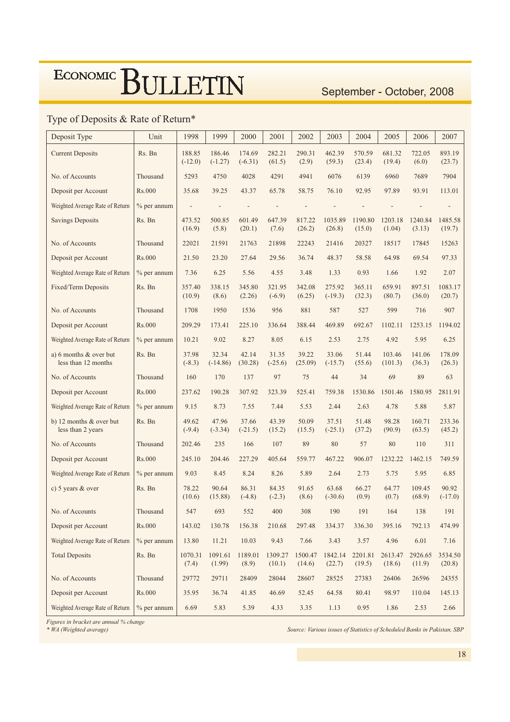### September - October, 2008

### Type of Deposits & Rate of Return\*

| Deposit Type                                  | Unit          | 1998                     | 1999                     | 2000                         | 2001                     | 2002              | 2003                | 2004              | 2005              | 2006              | 2007                     |
|-----------------------------------------------|---------------|--------------------------|--------------------------|------------------------------|--------------------------|-------------------|---------------------|-------------------|-------------------|-------------------|--------------------------|
| <b>Current Deposits</b>                       | Rs. Bn        | 188.85<br>$(-12.0)$      | 186.46<br>$(-1.27)$      | 174.69<br>$(-6.31)$          | 282.21<br>(61.5)         | 290.31<br>(2.9)   | 462.39<br>(59.3)    | 570.59<br>(23.4)  | 681.32<br>(19.4)  | 722.05<br>(6.0)   | 893.19<br>(23.7)         |
| No. of Accounts                               | Thousand      | 5293                     | 4750                     | 4028                         | 4291                     | 4941              | 6076                | 6139              | 6960              | 7689              | 7904                     |
| Deposit per Account                           | Rs.000        | 35.68                    | 39.25                    | 43.37                        | 65.78                    | 58.75             | 76.10               | 92.95             | 97.89             | 93.91             | 113.01                   |
| Weighted Average Rate of Return               | $%$ per annum | $\overline{\phantom{a}}$ | $\overline{\phantom{a}}$ | $\qquad \qquad \blacksquare$ | $\overline{\phantom{a}}$ |                   |                     |                   |                   |                   | $\overline{\phantom{a}}$ |
| <b>Savings Deposits</b>                       | Rs. Bn        | 473.52<br>(16.9)         | 500.85<br>(5.8)          | 601.49<br>(20.1)             | 647.39<br>(7.6)          | 817.22<br>(26.2)  | 1035.89<br>(26.8)   | 1190.80<br>(15.0) | 1203.18<br>(1.04) | 1240.84<br>(3.13) | 1485.58<br>(19.7)        |
| No. of Accounts                               | Thousand      | 22021                    | 21591                    | 21763                        | 21898                    | 22243             | 21416               | 20327             | 18517             | 17845             | 15263                    |
| Deposit per Account                           | Rs.000        | 21.50                    | 23.20                    | 27.64                        | 29.56                    | 36.74             | 48.37               | 58.58             | 64.98             | 69.54             | 97.33                    |
| Weighted Average Rate of Return               | $%$ per annum | 7.36                     | 6.25                     | 5.56                         | 4.55                     | 3.48              | 1.33                | 0.93              | 1.66              | 1.92              | 2.07                     |
| Fixed/Term Deposits                           | Rs. Bn        | 357.40<br>(10.9)         | 338.15<br>(8.6)          | 345.80<br>(2.26)             | 321.95<br>$(-6.9)$       | 342.08<br>(6.25)  | 275.92<br>$(-19.3)$ | 365.11<br>(32.3)  | 659.91<br>(80.7)  | 897.51<br>(36.0)  | 1083.17<br>(20.7)        |
| No. of Accounts                               | Thousand      | 1708                     | 1950                     | 1536                         | 956                      | 881               | 587                 | 527               | 599               | 716               | 907                      |
| Deposit per Account                           | Rs.000        | 209.29                   | 173.41                   | 225.10                       | 336.64                   | 388.44            | 469.89              | 692.67            | 1102.11           | 1253.15           | 1194.02                  |
| Weighted Average Rate of Return               | $%$ per annum | 10.21                    | 9.02                     | 8.27                         | 8.05                     | 6.15              | 2.53                | 2.75              | 4.92              | 5.95              | 6.25                     |
| a) 6 months & over but<br>less than 12 months | Rs. Bn        | 37.98<br>$(-8.3)$        | 32.34<br>$(-14.86)$      | 42.14<br>(30.28)             | 31.35<br>$(-25.6)$       | 39.22<br>(25.09)  | 33.06<br>$(-15.7)$  | 51.44<br>(55.6)   | 103.46<br>(101.3) | 141.06<br>(36.3)  | 178.09<br>(26.3)         |
|                                               |               |                          |                          |                              |                          | 75                | 44                  | 34                |                   |                   |                          |
| No. of Accounts                               | Thousand      | 160                      | 170                      | 137                          | 97                       |                   |                     |                   | 69                | 89                | 63                       |
| Deposit per Account                           | Rs.000        | 237.62                   | 190.28                   | 307.92                       | 323.39                   | 525.41            | 759.38              | 1530.86           | 1501.46           | 1580.95           | 2811.91                  |
| Weighted Average Rate of Return               | $%$ per annum | 9.15                     | 8.73                     | 7.55                         | 7.44                     | 5.53              | 2.44                | 2.63              | 4.78              | 5.88              | 5.87                     |
| b) 12 months & over but<br>less than 2 years  | Rs. Bn        | 49.62<br>$(-9.4)$        | 47.96<br>$(-3.34)$       | 37.66<br>$(-21.5)$           | 43.39<br>(15.2)          | 50.09<br>(15.5)   | 37.51<br>$(-25.1)$  | 51.48<br>(37.2)   | 98.28<br>(90.9)   | 160.71<br>(63.5)  | 233.36<br>(45.2)         |
| No. of Accounts                               | Thousand      | 202.46                   | 235                      | 166                          | 107                      | 89                | 80                  | 57                | 80                | 110               | 311                      |
| Deposit per Account                           | Rs.000        | 245.10                   | 204.46                   | 227.29                       | 405.64                   | 559.77            | 467.22              | 906.07            | 1232.22           | 1462.15           | 749.59                   |
| Weighted Average Rate of Return               | $%$ per annum | 9.03                     | 8.45                     | 8.24                         | 8.26                     | 5.89              | 2.64                | 2.73              | 5.75              | 5.95              | 6.85                     |
| c) 5 years & over                             | Rs. Bn        | 78.22<br>(10.6)          | 90.64<br>(15.88)         | 86.31<br>$(-4.8)$            | 84.35<br>$(-2.3)$        | 91.65<br>(8.6)    | 63.68<br>$(-30.6)$  | 66.27<br>(0.9)    | 64.77<br>(0.7)    | 109.45<br>(68.9)  | 90.92<br>$(-17.0)$       |
| No. of Accounts                               | Thousand      | 547                      | 693                      | 552                          | 400                      | 308               | 190                 | 191               | 164               | 138               | 191                      |
| Deposit per Account                           | Rs.000        | 143.02                   | 130.78                   | 156.38                       | 210.68                   | 297.48            | 334.37              | 336.30            | 395.16            | 792.13            | 474.99                   |
| Weighted Average Rate of Return               | $%$ per annum | 13.80                    | 11.21                    | 10.03                        | 9.43                     | 7.66              | 3.43                | 3.57              | 4.96              | 6.01              | 7.16                     |
| <b>Total Deposits</b>                         | Rs. Bn        | 1070.31<br>(7.4)         | 1091.61<br>(1.99)        | 1189.01<br>(8.9)             | 1309.27<br>(10.1)        | 1500.47<br>(14.6) | 1842.14<br>(22.7)   | 2201.81<br>(19.5) | 2613.47<br>(18.6) | 2926.65<br>(11.9) | 3534.50<br>(20.8)        |
| No. of Accounts                               | Thousand      | 29772                    | 29711                    | 28409                        | 28044                    | 28607             | 28525               | 27383             | 26406             | 26596             | 24355                    |
| Deposit per Account                           | <b>Rs.000</b> | 35.95                    | 36.74                    | 41.85                        | 46.69                    | 52.45             | 64.58               | 80.41             | 98.97             | 110.04            | 145.13                   |

Figures in bracket are annual % change

Source: Various issues of Statistics of Scheduled Banks in Pakistan, SBP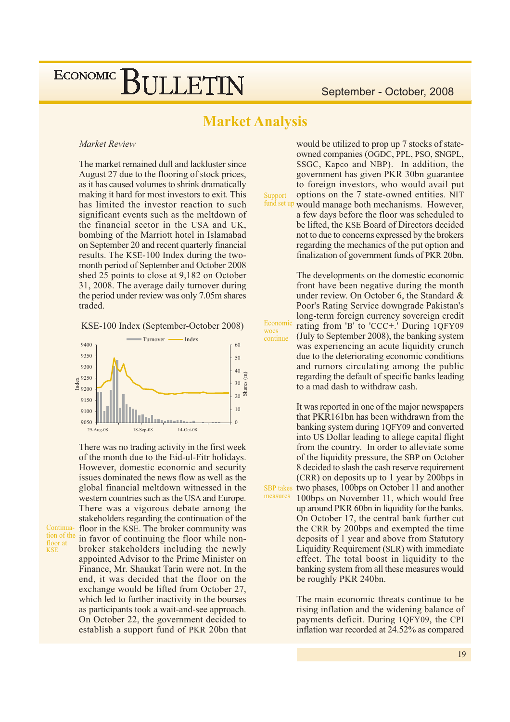### **Market Analysis**

Support

woes

continue

#### **Market Review**

The market remained dull and lackluster since August 27 due to the flooring of stock prices, as it has caused volumes to shrink dramatically making it hard for most investors to exit. This has limited the investor reaction to such significant events such as the meltdown of the financial sector in the USA and UK, bombing of the Marriott hotel in Islamabad on September 20 and recent quarterly financial results. The KSE-100 Index during the twomonth period of September and October 2008 shed 25 points to close at 9,182 on October 31, 2008. The average daily turnover during the period under review was only 7.05m shares traded.

KSE-100 Index (September-October 2008)



There was no trading activity in the first week of the month due to the Eid-ul-Fitr holidays. However, domestic economic and security issues dominated the news flow as well as the global financial meltdown witnessed in the western countries such as the USA and Europe. There was a vigorous debate among the stakeholders regarding the continuation of the floor in the KSE. The broker community was in favor of continuing the floor while nonbroker stakeholders including the newly appointed Advisor to the Prime Minister on Finance, Mr. Shaukat Tarin were not. In the end, it was decided that the floor on the exchange would be lifted from October 27, which led to further inactivity in the bourses as participants took a wait-and-see approach. On October 22, the government decided to establish a support fund of PKR 20bn that

Continua-

tion of the

floor at

**KSE** 

would be utilized to prop up 7 stocks of stateowned companies (OGDC, PPL, PSO, SNGPL, SSGC, Kapco and NBP). In addition, the government has given PKR 30bn guarantee to foreign investors, who would avail put options on the 7 state-owned entities. NIT fund set up would manage both mechanisms. However,

a few days before the floor was scheduled to be lifted, the KSE Board of Directors decided not to due to concerns expressed by the brokers regarding the mechanics of the put option and finalization of government funds of PKR 20bn.

The developments on the domestic economic front have been negative during the month under review. On October 6, the Standard & Poor's Rating Service downgrade Pakistan's long-term foreign currency sovereign credit Economic rating from 'B' to 'CCC+.' During 1QFY09 (July to September 2008), the banking system was experiencing an acute liquidity crunch due to the deteriorating economic conditions and rumors circulating among the public regarding the default of specific banks leading to a mad dash to withdraw cash.

It was reported in one of the major newspapers that PKR161bn has been withdrawn from the banking system during 1QFY09 and converted into US Dollar leading to allege capital flight from the country. In order to alleviate some of the liquidity pressure, the SBP on October 8 decided to slash the cash reserve requirement (CRR) on deposits up to 1 year by 200bps in **SBP** takes two phases, 100bps on October 11 and another measures 100bps on November 11, which would free up around PKR 60bn in liquidity for the banks. On October 17, the central bank further cut the CRR by 200bps and exempted the time deposits of 1 year and above from Statutory Liquidity Requirement (SLR) with immediate effect. The total boost in liquidity to the banking system from all these measures would be roughly PKR 240bn.

> The main economic threats continue to be. rising inflation and the widening balance of payments deficit. During 1QFY09, the CPI inflation war recorded at 24.52% as compared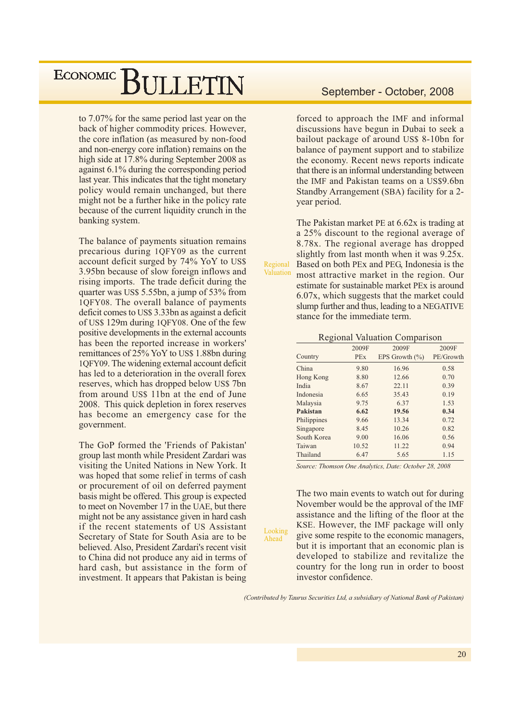to 7.07% for the same period last year on the back of higher commodity prices. However, the core inflation (as measured by non-food and non-energy core inflation) remains on the high side at 17.8% during September 2008 as against 6.1% during the corresponding period last year. This indicates that the tight monetary policy would remain unchanged, but there might not be a further hike in the policy rate because of the current liquidity crunch in the banking system.

The balance of payments situation remains precarious during 1QFY09 as the current account deficit surged by 74% YoY to US\$ 3.95bn because of slow foreign inflows and rising imports. The trade deficit during the quarter was US\$ 5.55bn, a jump of 53% from 1QFY08. The overall balance of payments deficit comes to US\$ 3.33bn as against a deficit of US\$ 129m during 1QFY08. One of the few positive developments in the external accounts has been the reported increase in workers' remittances of 25% Yo Y to US\$ 1.88bn during 10FY09. The widening external account deficit has led to a deterioration in the overall forex reserves, which has dropped below US\$ 7bn from around US\$ 11bn at the end of June 2008. This quick depletion in forex reserves has become an emergency case for the government.

The GoP formed the 'Friends of Pakistan' group last month while President Zardari was visiting the United Nations in New York. It was hoped that some relief in terms of cash or procurement of oil on deferred payment basis might be offered. This group is expected to meet on November 17 in the UAE, but there might not be any assistance given in hard cash if the recent statements of US Assistant Secretary of State for South Asia are to be believed. Also, President Zardari's recent visit to China did not produce any aid in terms of hard cash, but assistance in the form of investment. It appears that Pakistan is being

#### September - October, 2008

forced to approach the IMF and informal discussions have begun in Dubai to seek a bailout package of around US\$ 8-10bn for balance of payment support and to stabilize the economy. Recent news reports indicate that there is an informal understanding between the IMF and Pakistan teams on a US\$9.6bn Standby Arrangement (SBA) facility for a 2vear period.

The Pakistan market PE at 6.62x is trading at a 25% discount to the regional average of 8.78x. The regional average has dropped slightly from last month when it was 9.25x. Based on both PEx and PEG, Indonesia is the most attractive market in the region. Our estimate for sustainable market PEx is around 6.07x, which suggests that the market could slump further and thus, leading to a NEGATIVE stance for the immediate term.

Regional

Valuation

Looking

Ahead

#### **Regional Valuation Comparison**

|             | 2009F      | 2009F              | 2009F     |
|-------------|------------|--------------------|-----------|
| Country     | <b>PEx</b> | EPS Growth $(\% )$ | PE/Growth |
| China       | 9.80       | 16.96              | 0.58      |
| Hong Kong   | 8.80       | 12.66              | 0.70      |
| India       | 8.67       | 22.11              | 0.39      |
| Indonesia   | 6.65       | 35.43              | 0.19      |
| Malaysia    | 9.75       | 6.37               | 1.53      |
| Pakistan    | 6.62       | 19.56              | 0.34      |
| Philippines | 9.66       | 13.34              | 0.72      |
| Singapore   | 8.45       | 10.26              | 0.82      |
| South Korea | 9.00       | 16.06              | 0.56      |
| Taiwan      | 10.52      | 11.22              | 0.94      |
| Thailand    | 6.47       | 5.65               | 1.15      |
|             |            |                    |           |

Source: Thomson One Analytics, Date: October 28, 2008

The two main events to watch out for during November would be the approval of the IMF assistance and the lifting of the floor at the KSE. However, the IMF package will only give some respite to the economic managers, but it is important that an economic plan is developed to stabilize and revitalize the country for the long run in order to boost investor confidence.

(Contributed by Taurus Securities Ltd. a subsidiary of National Bank of Pakistan)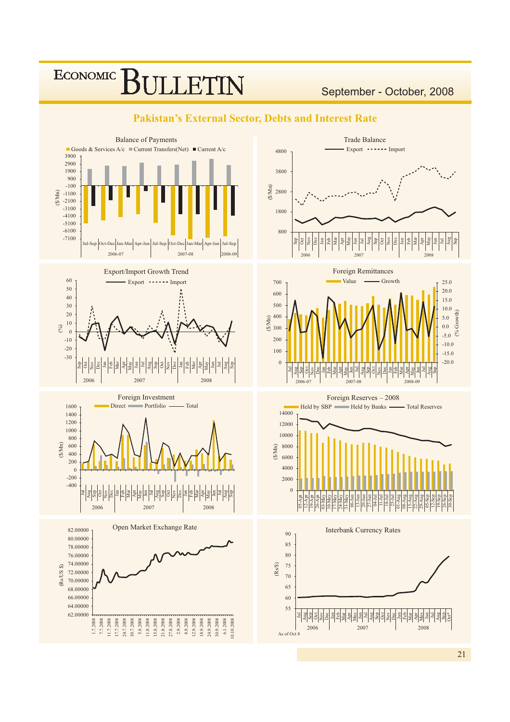### **ECONOMIC** F1

September - October, 2008



#### **Pakistan's External Sector, Debts and Interest Rate**

21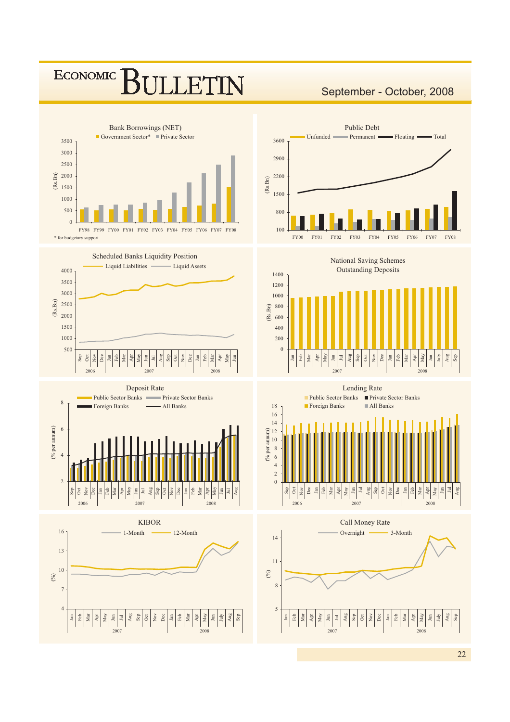### ECONOMIC **FTIN**

### September - October, 2008















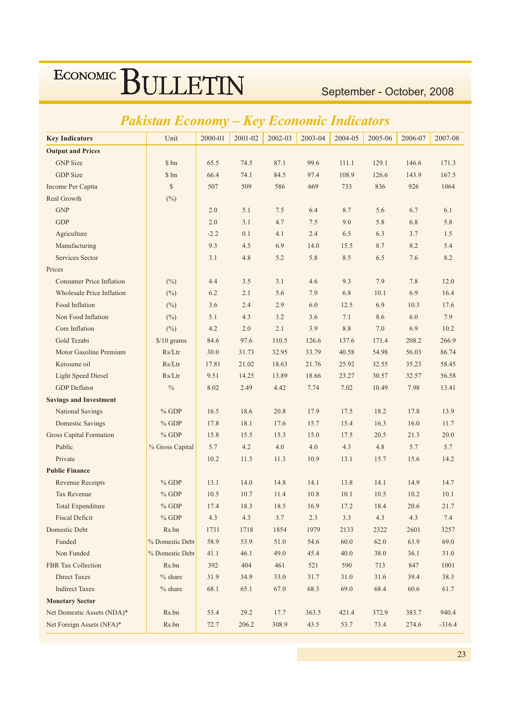September - October, 2008

#### $2001 - 02$ Unit  $2000 - 01$  $2002 - 03$ 2003-04 2004-05 2005-06 2006-07 2007-08 **Key Indicators Output and Prices GNP** Size \$ bn 65.5 74.5 87.1 99.6  $111.1$ 129.1 146.6 171.3 **GDP** Size \$ bn 66.4 74.1 84.5 97.4 108.9 126.6 143.9 167.5  $\sqrt{\frac{1}{2}}$ Income Per Capita 507 509 586 669 733 836 926 1064 Real Growth  $(\%)$ **GNP**  $7<sup>5</sup>$ 2.0  $5.1$ 6.4 87 5.6 6.7 6.1 **GDP**  $2.0$  $3.1$  $4.7$  $7.5$  $9.0$ 5.8 5.8 6.8 Agriculture  $-2.2$  $0.1$  $4.1$  $2.4$ 6.5 6.3  $3.7$  $1.5$ Manufacturing 9.3  $4.5$ 6.9 14.0 15.5 8.7 8.2  $5.4$ Services Sector  $3.1$ 4.8  $52$ 5.8 8.5  $6.5$ 7.6 8.2 Prices **Consumer Price Inflation**  $(^{0}_{0})$  $4.4$  $3.5$  $3.1$  $4.6$ 9.3 7.9 7.8 12.0 Wholesale Price Inflation 6.2  $2.1$ 5.6 7.9 6.8  $10.1$ 6.9 16.4  $(\%)$ Food Inflation  $(\%)$ 3.6  $2.4$ 2.9 6.0 12.5 6.9  $10.3$ 17.6 Non Food Inflation  $5<sub>1</sub>$  $43$  $3.2$  $3.6$  $71$  $7Q$  $(%)$ 86 60 Core Inflation  $4.2$  $2.0$  $2<sub>1</sub>$  $3.9$  $10.2$  $(\%)$ 8.8  $7.0$ 6.9 Gold Tezabi  $$/10$  grams 84.6 97.6 110.5 126.6 137.6 171.4 208.2 266.9 Motor Gasoline Premium  $Rs/Ltr$ 32.95 33.79 30.0 31.73 40.58 54.98 56.03 86.74 Kerosene oil  $Rs/Ltr$ 17.81 21.02 21.76 25.92 32.55 35.23 18.63 58.45 Light Speed Diesel  $Rs/Ltr$ 9.51 14.25 13.89 18.66 23.27 30.57 32.57 56.58 **GDP** Deflator  $\frac{0}{0}$ 8.02 2.49  $4.42$ 7.74 7.02 10.49 7.98 13.41 **Savings and Investment National Savings**  $%$  GDP 20.8 17.5 17.8 13.9 16.5 18.6 17.9 18.2 **Domestic Savings**  $%$  GDP 17.8 18.1 17.6 15.7 15.4 16.3 16.0 11.7 **Gross Capital Formation**  $%$  GDP  $15.8$  $15<sub>5</sub>$  $153$ 15.0 17.5  $20.5$  $213$  $200$ Public % Gross Capital 5.7  $4.2$  $4.0$  $4.0$  $4.3$ 4.8 5.7 5.7 Private  $10.2$ 11.3  $113$ 10.9  $13.1$ 15.7 15.6 14.2 **Public Finance**  $%$  GDP 14.0  $14.8$  $141$  $141$  $149$  $147$ **Revenue Receipts**  $13.1$  $13.8$ Tax Revenue  $% GDP$  $10.5$  $10.7$  $11.4$ 10.8  $10.1$  $10.5$  $10.2$  $10.1$ **Total Expenditure**  $% GDP$ 18.3 16.9  $174$  $185$  $172$ 184  $20<sub>6</sub>$  $217$ **Fiscal Deficit**  $% GDP$  $4.3$  $4.3$  $3.7$  $2.3$  $3.3$  $4.3$  $4.3$  $7.4$ Domestic Debt Rs.bn 1731 1718 1854 1979 2133 2322 2601 3257 Funded % Domestic Debt 53.9 58.9 51.0 54.6 60.0 62.0 63.9 69.0 Non Funded % Domestic Debt  $41.1$  $46.1$ 49.0 45.4  $40.0$ 38.0  $36.1$ 31.0 FBR Tax Collection Rs.bn 392 404 461 521 590 713 847 1001 **Direct Taxes**  $%$  share 31.9 34.9 33.0  $31.7$ 31.0  $31.6$ 39.4 38.3 **Indirect Taxes**  $%$  share 68.1 65.1 67.0 68.3 69.0 68.4 60.6 61.7 **Monetary Sector** Net Domestic Assets (NDA)\*  $Rs.bn$ 53.4 29.2 17.7 363.5 421.4 372.9 383.7 940.4 72.7 308.9 Net Foreign Assets (NFA)\* Rs.bn 43.5 53.7  $-316.4$ 206.2 73.4 274.6